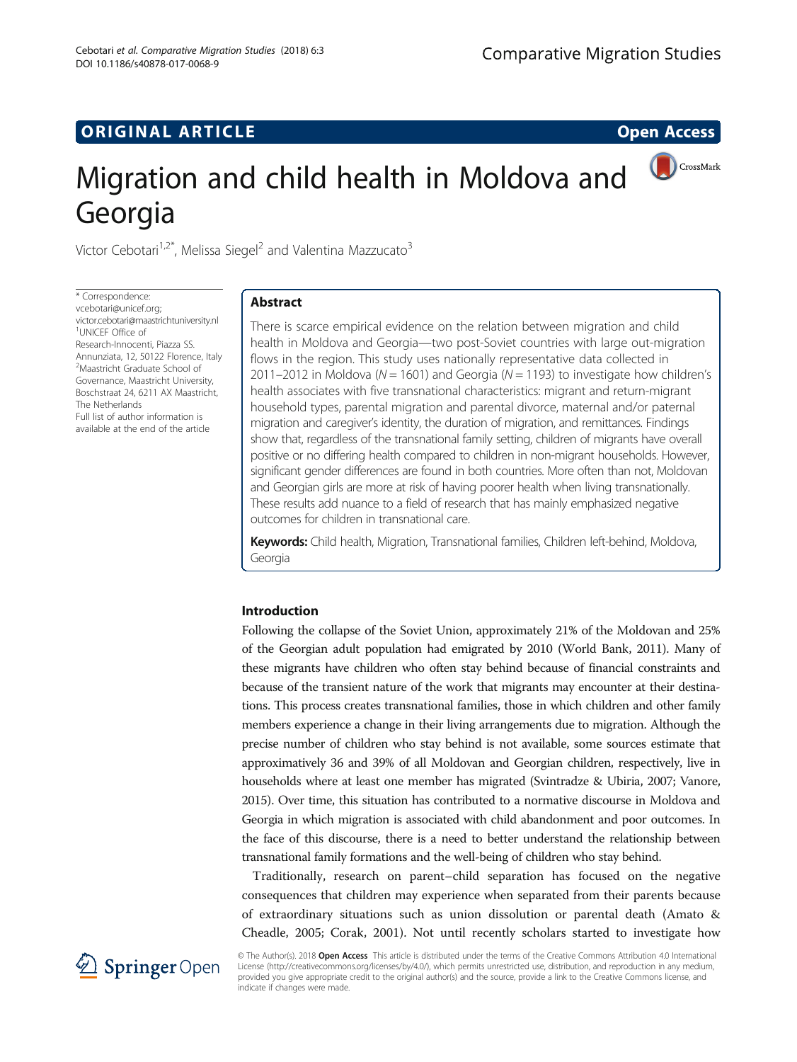# **ORIGINAL ARTICLE CONSERVANCE IN A LOCAL CONSERVANCE IN A LOCAL CONSERVANCE IN A LOCAL CONSERVANCE IN A LOCAL CONSERVANCE IN A LOCAL CONSERVANCE IN A LOCAL CONSERVANCE IN A LOCAL CONSERVANCE IN A LOCAL CONSERVANCE IN A L**

CrossMark

# Migration and child health in Moldova and Georgia

Victor Cebotari<sup>1,2\*</sup>, Melissa Siegel<sup>2</sup> and Valentina Mazzucato<sup>3</sup>

\* Correspondence: [vcebotari@unicef.org;](mailto:vcebotari@unicef.org) [victor.cebotari@maastrichtuniversity.nl](mailto:victor.cebotari@maastrichtuniversity.nl) <sup>1</sup> UNICEF Office of Research-Innocenti, Piazza SS. Annunziata, 12, 50122 Florence, Italy <sup>2</sup>Maastricht Graduate School of Governance, Maastricht University, Boschstraat 24, 6211 AX Maastricht, The Netherlands Full list of author information is available at the end of the article

# Abstract

There is scarce empirical evidence on the relation between migration and child health in Moldova and Georgia—two post-Soviet countries with large out-migration flows in the region. This study uses nationally representative data collected in 2011–2012 in Moldova ( $N = 1601$ ) and Georgia ( $N = 1193$ ) to investigate how children's health associates with five transnational characteristics: migrant and return-migrant household types, parental migration and parental divorce, maternal and/or paternal migration and caregiver's identity, the duration of migration, and remittances. Findings show that, regardless of the transnational family setting, children of migrants have overall positive or no differing health compared to children in non-migrant households. However, significant gender differences are found in both countries. More often than not, Moldovan and Georgian girls are more at risk of having poorer health when living transnationally. These results add nuance to a field of research that has mainly emphasized negative outcomes for children in transnational care.

Keywords: Child health, Migration, Transnational families, Children left-behind, Moldova, Georgia

# Introduction

Following the collapse of the Soviet Union, approximately 21% of the Moldovan and 25% of the Georgian adult population had emigrated by 2010 (World Bank, [2011](#page-21-0)). Many of these migrants have children who often stay behind because of financial constraints and because of the transient nature of the work that migrants may encounter at their destinations. This process creates transnational families, those in which children and other family members experience a change in their living arrangements due to migration. Although the precise number of children who stay behind is not available, some sources estimate that approximatively 36 and 39% of all Moldovan and Georgian children, respectively, live in households where at least one member has migrated (Svintradze & Ubiria, [2007](#page-20-0); Vanore, [2015\)](#page-21-0). Over time, this situation has contributed to a normative discourse in Moldova and Georgia in which migration is associated with child abandonment and poor outcomes. In the face of this discourse, there is a need to better understand the relationship between transnational family formations and the well-being of children who stay behind.

Traditionally, research on parent–child separation has focused on the negative consequences that children may experience when separated from their parents because of extraordinary situations such as union dissolution or parental death (Amato & Cheadle, [2005](#page-19-0); Corak, [2001\)](#page-20-0). Not until recently scholars started to investigate how



© The Author(s). 2018 Open Access This article is distributed under the terms of the Creative Commons Attribution 4.0 International License [\(http://creativecommons.org/licenses/by/4.0/](http://creativecommons.org/licenses/by/4.0/)), which permits unrestricted use, distribution, and reproduction in any medium, provided you give appropriate credit to the original author(s) and the source, provide a link to the Creative Commons license, and indicate if changes were made.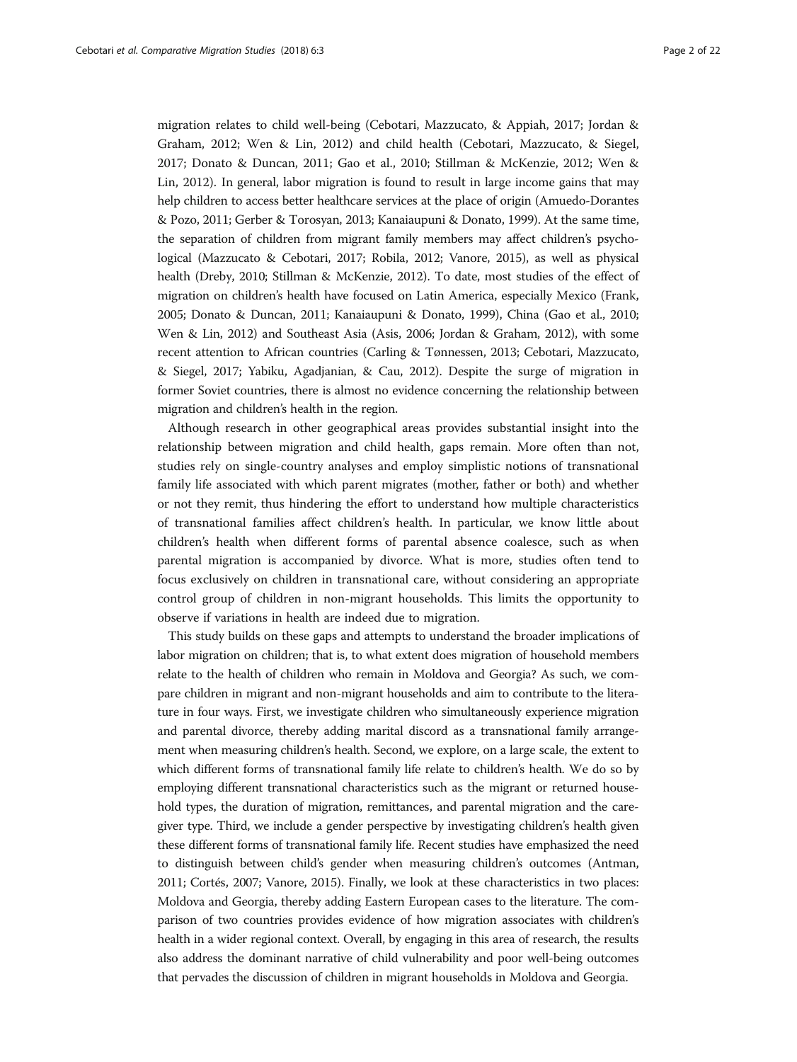migration relates to child well-being (Cebotari, Mazzucato, & Appiah, [2017;](#page-20-0) Jordan & Graham, [2012](#page-20-0); Wen & Lin, [2012\)](#page-21-0) and child health (Cebotari, Mazzucato, & Siegel, [2017](#page-20-0); Donato & Duncan, [2011](#page-20-0); Gao et al., [2010](#page-20-0); Stillman & McKenzie, [2012;](#page-20-0) Wen & Lin, [2012\)](#page-21-0). In general, labor migration is found to result in large income gains that may help children to access better healthcare services at the place of origin (Amuedo-Dorantes & Pozo, [2011;](#page-19-0) Gerber & Torosyan, [2013;](#page-20-0) Kanaiaupuni & Donato, [1999\)](#page-20-0). At the same time, the separation of children from migrant family members may affect children's psychological (Mazzucato & Cebotari, [2017](#page-20-0); Robila, [2012;](#page-20-0) Vanore, [2015](#page-21-0)), as well as physical health (Dreby, [2010](#page-20-0); Stillman & McKenzie, [2012](#page-20-0)). To date, most studies of the effect of migration on children's health have focused on Latin America, especially Mexico (Frank, [2005;](#page-20-0) Donato & Duncan, [2011](#page-20-0); Kanaiaupuni & Donato, [1999](#page-20-0)), China (Gao et al., [2010](#page-20-0); Wen & Lin, [2012](#page-21-0)) and Southeast Asia (Asis, [2006;](#page-20-0) Jordan & Graham, [2012\)](#page-20-0), with some recent attention to African countries (Carling & Tønnessen, [2013](#page-20-0); Cebotari, Mazzucato, & Siegel, [2017;](#page-20-0) Yabiku, Agadjanian, & Cau, [2012](#page-21-0)). Despite the surge of migration in former Soviet countries, there is almost no evidence concerning the relationship between migration and children's health in the region.

Although research in other geographical areas provides substantial insight into the relationship between migration and child health, gaps remain. More often than not, studies rely on single-country analyses and employ simplistic notions of transnational family life associated with which parent migrates (mother, father or both) and whether or not they remit, thus hindering the effort to understand how multiple characteristics of transnational families affect children's health. In particular, we know little about children's health when different forms of parental absence coalesce, such as when parental migration is accompanied by divorce. What is more, studies often tend to focus exclusively on children in transnational care, without considering an appropriate control group of children in non-migrant households. This limits the opportunity to observe if variations in health are indeed due to migration.

This study builds on these gaps and attempts to understand the broader implications of labor migration on children; that is, to what extent does migration of household members relate to the health of children who remain in Moldova and Georgia? As such, we compare children in migrant and non-migrant households and aim to contribute to the literature in four ways. First, we investigate children who simultaneously experience migration and parental divorce, thereby adding marital discord as a transnational family arrangement when measuring children's health. Second, we explore, on a large scale, the extent to which different forms of transnational family life relate to children's health. We do so by employing different transnational characteristics such as the migrant or returned household types, the duration of migration, remittances, and parental migration and the caregiver type. Third, we include a gender perspective by investigating children's health given these different forms of transnational family life. Recent studies have emphasized the need to distinguish between child's gender when measuring children's outcomes (Antman, [2011;](#page-20-0) Cortés, [2007](#page-20-0); Vanore, [2015\)](#page-21-0). Finally, we look at these characteristics in two places: Moldova and Georgia, thereby adding Eastern European cases to the literature. The comparison of two countries provides evidence of how migration associates with children's health in a wider regional context. Overall, by engaging in this area of research, the results also address the dominant narrative of child vulnerability and poor well-being outcomes that pervades the discussion of children in migrant households in Moldova and Georgia.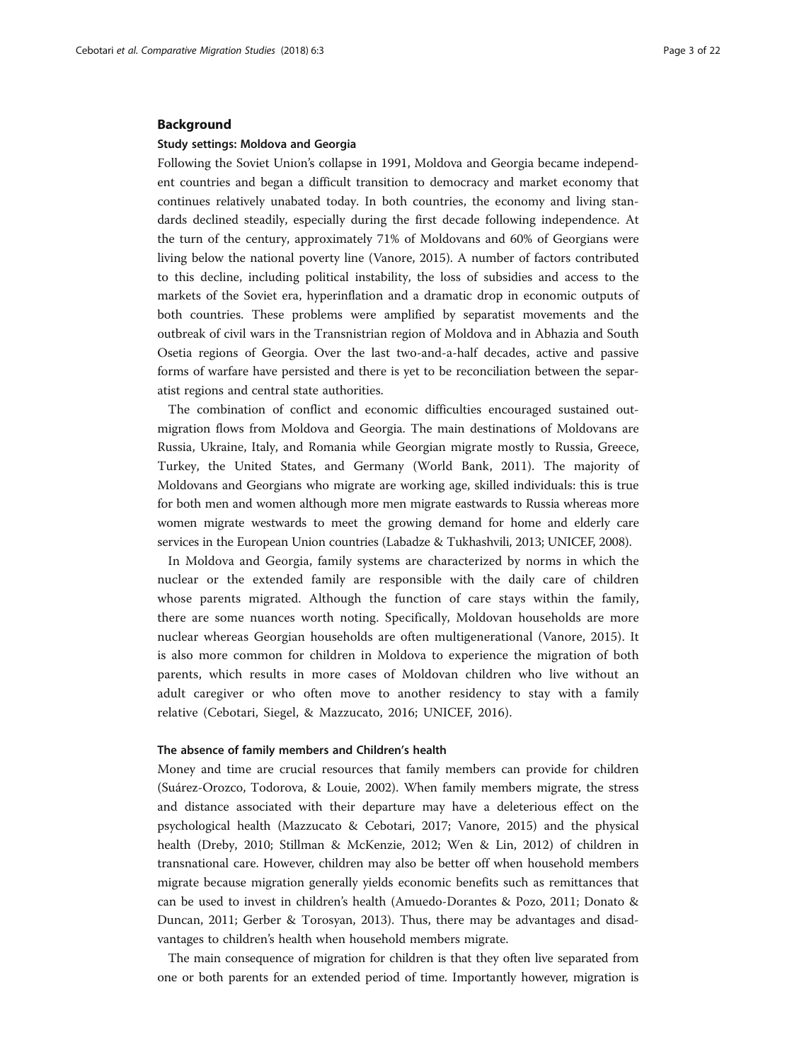## Background

## Study settings: Moldova and Georgia

Following the Soviet Union's collapse in 1991, Moldova and Georgia became independent countries and began a difficult transition to democracy and market economy that continues relatively unabated today. In both countries, the economy and living standards declined steadily, especially during the first decade following independence. At the turn of the century, approximately 71% of Moldovans and 60% of Georgians were living below the national poverty line (Vanore, [2015](#page-21-0)). A number of factors contributed to this decline, including political instability, the loss of subsidies and access to the markets of the Soviet era, hyperinflation and a dramatic drop in economic outputs of both countries. These problems were amplified by separatist movements and the outbreak of civil wars in the Transnistrian region of Moldova and in Abhazia and South Osetia regions of Georgia. Over the last two-and-a-half decades, active and passive forms of warfare have persisted and there is yet to be reconciliation between the separatist regions and central state authorities.

The combination of conflict and economic difficulties encouraged sustained outmigration flows from Moldova and Georgia. The main destinations of Moldovans are Russia, Ukraine, Italy, and Romania while Georgian migrate mostly to Russia, Greece, Turkey, the United States, and Germany (World Bank, [2011](#page-21-0)). The majority of Moldovans and Georgians who migrate are working age, skilled individuals: this is true for both men and women although more men migrate eastwards to Russia whereas more women migrate westwards to meet the growing demand for home and elderly care services in the European Union countries (Labadze & Tukhashvili, [2013;](#page-20-0) UNICEF, [2008](#page-20-0)).

In Moldova and Georgia, family systems are characterized by norms in which the nuclear or the extended family are responsible with the daily care of children whose parents migrated. Although the function of care stays within the family, there are some nuances worth noting. Specifically, Moldovan households are more nuclear whereas Georgian households are often multigenerational (Vanore, [2015\)](#page-21-0). It is also more common for children in Moldova to experience the migration of both parents, which results in more cases of Moldovan children who live without an adult caregiver or who often move to another residency to stay with a family relative (Cebotari, Siegel, & Mazzucato, [2016](#page-20-0); UNICEF, [2016](#page-21-0)).

## The absence of family members and Children's health

Money and time are crucial resources that family members can provide for children (Suárez-Orozco, Todorova, & Louie, [2002\)](#page-20-0). When family members migrate, the stress and distance associated with their departure may have a deleterious effect on the psychological health (Mazzucato & Cebotari, [2017;](#page-20-0) Vanore, [2015](#page-21-0)) and the physical health (Dreby, [2010](#page-20-0); Stillman & McKenzie, [2012](#page-20-0); Wen & Lin, [2012\)](#page-21-0) of children in transnational care. However, children may also be better off when household members migrate because migration generally yields economic benefits such as remittances that can be used to invest in children's health (Amuedo-Dorantes & Pozo, [2011;](#page-19-0) Donato & Duncan, [2011;](#page-20-0) Gerber & Torosyan, [2013\)](#page-20-0). Thus, there may be advantages and disadvantages to children's health when household members migrate.

The main consequence of migration for children is that they often live separated from one or both parents for an extended period of time. Importantly however, migration is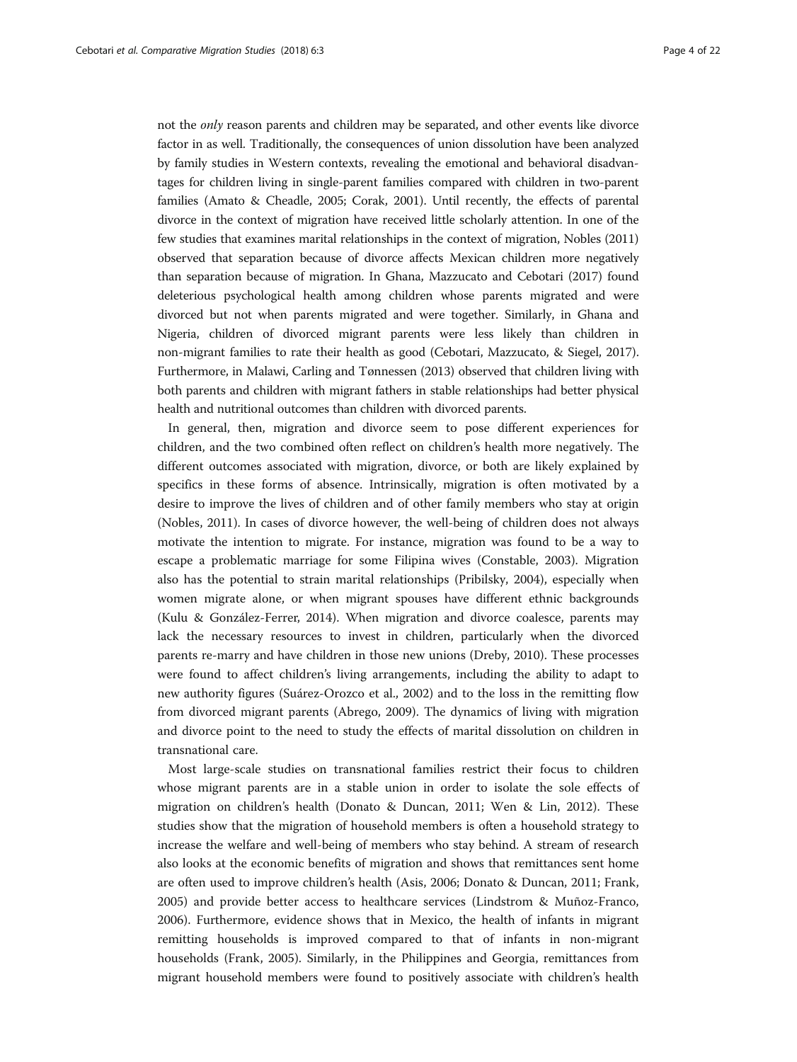not the only reason parents and children may be separated, and other events like divorce factor in as well. Traditionally, the consequences of union dissolution have been analyzed by family studies in Western contexts, revealing the emotional and behavioral disadvantages for children living in single-parent families compared with children in two-parent families (Amato & Cheadle, [2005;](#page-19-0) Corak, [2001\)](#page-20-0). Until recently, the effects of parental divorce in the context of migration have received little scholarly attention. In one of the few studies that examines marital relationships in the context of migration, Nobles [\(2011](#page-20-0)) observed that separation because of divorce affects Mexican children more negatively than separation because of migration. In Ghana, Mazzucato and Cebotari ([2017](#page-20-0)) found deleterious psychological health among children whose parents migrated and were divorced but not when parents migrated and were together. Similarly, in Ghana and Nigeria, children of divorced migrant parents were less likely than children in non-migrant families to rate their health as good (Cebotari, Mazzucato, & Siegel, [2017](#page-20-0)). Furthermore, in Malawi, Carling and Tønnessen [\(2013\)](#page-20-0) observed that children living with both parents and children with migrant fathers in stable relationships had better physical health and nutritional outcomes than children with divorced parents.

In general, then, migration and divorce seem to pose different experiences for children, and the two combined often reflect on children's health more negatively. The different outcomes associated with migration, divorce, or both are likely explained by specifics in these forms of absence. Intrinsically, migration is often motivated by a desire to improve the lives of children and of other family members who stay at origin (Nobles, [2011\)](#page-20-0). In cases of divorce however, the well-being of children does not always motivate the intention to migrate. For instance, migration was found to be a way to escape a problematic marriage for some Filipina wives (Constable, [2003\)](#page-20-0). Migration also has the potential to strain marital relationships (Pribilsky, [2004\)](#page-20-0), especially when women migrate alone, or when migrant spouses have different ethnic backgrounds (Kulu & González-Ferrer, [2014](#page-20-0)). When migration and divorce coalesce, parents may lack the necessary resources to invest in children, particularly when the divorced parents re-marry and have children in those new unions (Dreby, [2010\)](#page-20-0). These processes were found to affect children's living arrangements, including the ability to adapt to new authority figures (Suárez-Orozco et al., [2002\)](#page-20-0) and to the loss in the remitting flow from divorced migrant parents (Abrego, [2009\)](#page-19-0). The dynamics of living with migration and divorce point to the need to study the effects of marital dissolution on children in transnational care.

Most large-scale studies on transnational families restrict their focus to children whose migrant parents are in a stable union in order to isolate the sole effects of migration on children's health (Donato & Duncan, [2011;](#page-20-0) Wen & Lin, [2012](#page-21-0)). These studies show that the migration of household members is often a household strategy to increase the welfare and well-being of members who stay behind. A stream of research also looks at the economic benefits of migration and shows that remittances sent home are often used to improve children's health (Asis, [2006](#page-20-0); Donato & Duncan, [2011;](#page-20-0) Frank, [2005](#page-20-0)) and provide better access to healthcare services (Lindstrom & Muñoz-Franco, [2006](#page-20-0)). Furthermore, evidence shows that in Mexico, the health of infants in migrant remitting households is improved compared to that of infants in non-migrant households (Frank, [2005](#page-20-0)). Similarly, in the Philippines and Georgia, remittances from migrant household members were found to positively associate with children's health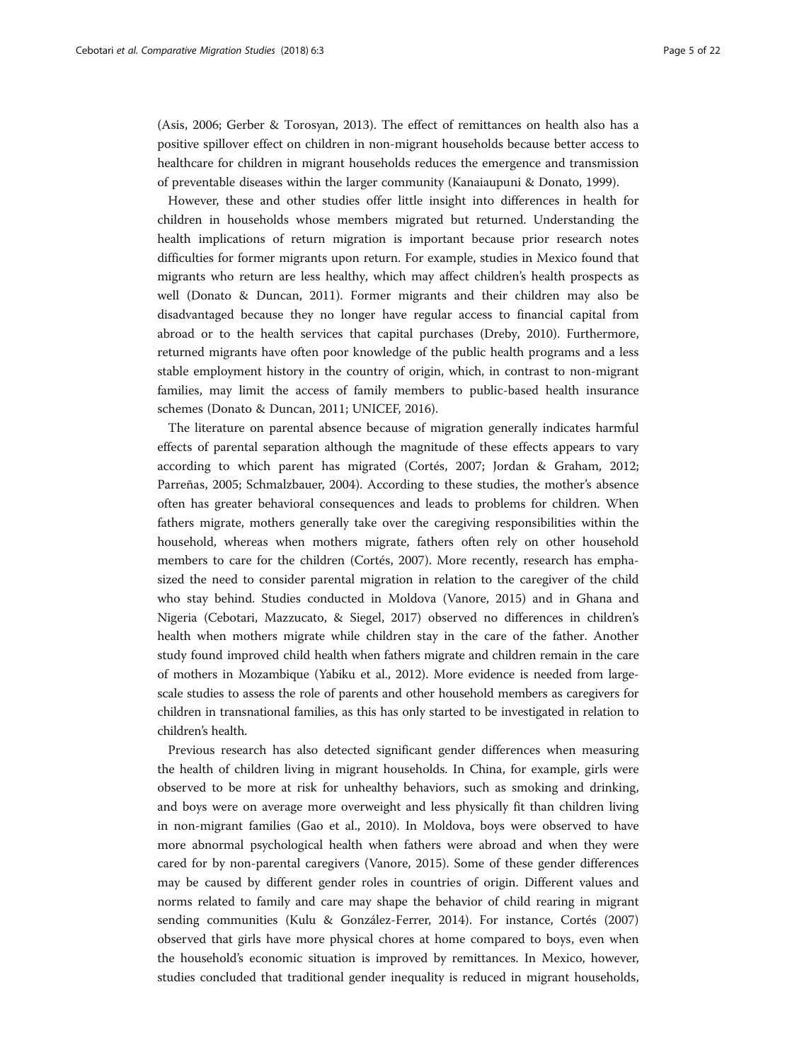(Asis, [2006;](#page-20-0) Gerber & Torosyan, [2013](#page-20-0)). The effect of remittances on health also has a positive spillover effect on children in non-migrant households because better access to healthcare for children in migrant households reduces the emergence and transmission of preventable diseases within the larger community (Kanaiaupuni & Donato, [1999\)](#page-20-0).

However, these and other studies offer little insight into differences in health for children in households whose members migrated but returned. Understanding the health implications of return migration is important because prior research notes difficulties for former migrants upon return. For example, studies in Mexico found that migrants who return are less healthy, which may affect children's health prospects as well (Donato & Duncan, [2011](#page-20-0)). Former migrants and their children may also be disadvantaged because they no longer have regular access to financial capital from abroad or to the health services that capital purchases (Dreby, [2010](#page-20-0)). Furthermore, returned migrants have often poor knowledge of the public health programs and a less stable employment history in the country of origin, which, in contrast to non-migrant families, may limit the access of family members to public-based health insurance schemes (Donato & Duncan, [2011](#page-20-0); UNICEF, [2016](#page-21-0)).

The literature on parental absence because of migration generally indicates harmful effects of parental separation although the magnitude of these effects appears to vary according to which parent has migrated (Cortés, [2007](#page-20-0); Jordan & Graham, [2012](#page-20-0); Parreñas, [2005](#page-20-0); Schmalzbauer, [2004\)](#page-20-0). According to these studies, the mother's absence often has greater behavioral consequences and leads to problems for children. When fathers migrate, mothers generally take over the caregiving responsibilities within the household, whereas when mothers migrate, fathers often rely on other household members to care for the children (Cortés, [2007](#page-20-0)). More recently, research has emphasized the need to consider parental migration in relation to the caregiver of the child who stay behind. Studies conducted in Moldova (Vanore, [2015](#page-21-0)) and in Ghana and Nigeria (Cebotari, Mazzucato, & Siegel, [2017\)](#page-20-0) observed no differences in children's health when mothers migrate while children stay in the care of the father. Another study found improved child health when fathers migrate and children remain in the care of mothers in Mozambique (Yabiku et al., [2012](#page-21-0)). More evidence is needed from largescale studies to assess the role of parents and other household members as caregivers for children in transnational families, as this has only started to be investigated in relation to children's health.

Previous research has also detected significant gender differences when measuring the health of children living in migrant households. In China, for example, girls were observed to be more at risk for unhealthy behaviors, such as smoking and drinking, and boys were on average more overweight and less physically fit than children living in non-migrant families (Gao et al., [2010](#page-20-0)). In Moldova, boys were observed to have more abnormal psychological health when fathers were abroad and when they were cared for by non-parental caregivers (Vanore, [2015](#page-21-0)). Some of these gender differences may be caused by different gender roles in countries of origin. Different values and norms related to family and care may shape the behavior of child rearing in migrant sending communities (Kulu & González-Ferrer, [2014\)](#page-20-0). For instance, Cortés ([2007](#page-20-0)) observed that girls have more physical chores at home compared to boys, even when the household's economic situation is improved by remittances. In Mexico, however, studies concluded that traditional gender inequality is reduced in migrant households,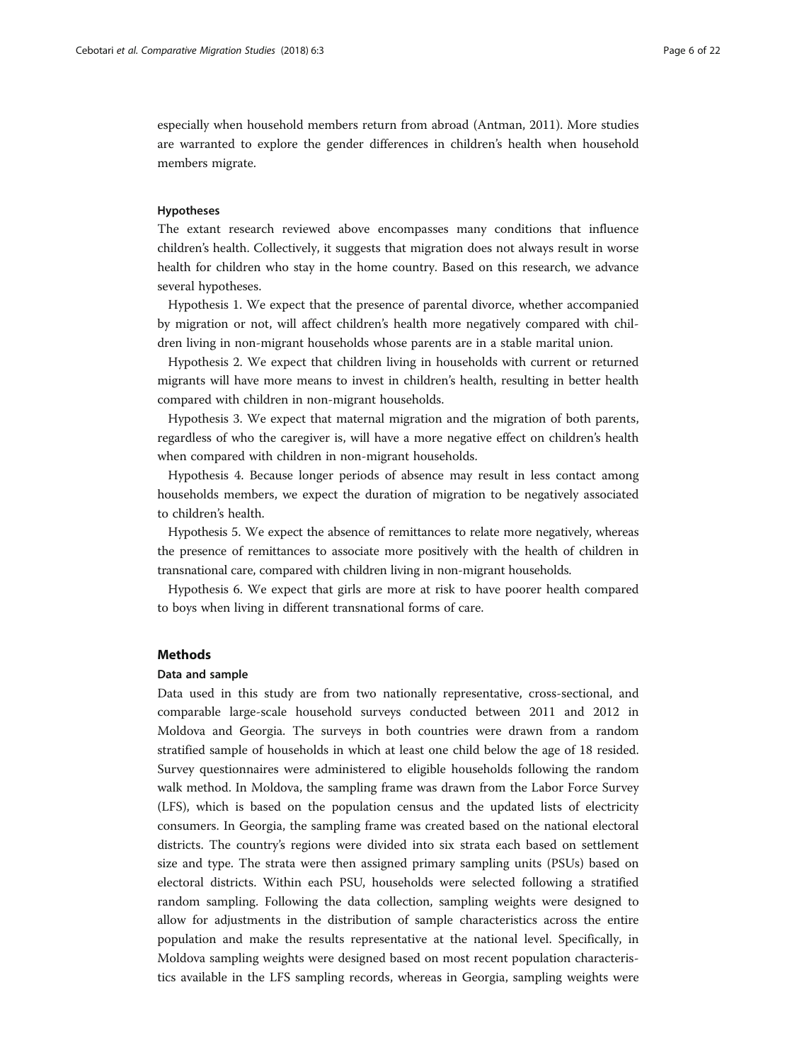especially when household members return from abroad (Antman, [2011\)](#page-20-0). More studies are warranted to explore the gender differences in children's health when household members migrate.

# Hypotheses

The extant research reviewed above encompasses many conditions that influence children's health. Collectively, it suggests that migration does not always result in worse health for children who stay in the home country. Based on this research, we advance several hypotheses.

Hypothesis 1. We expect that the presence of parental divorce, whether accompanied by migration or not, will affect children's health more negatively compared with children living in non-migrant households whose parents are in a stable marital union.

Hypothesis 2. We expect that children living in households with current or returned migrants will have more means to invest in children's health, resulting in better health compared with children in non-migrant households.

Hypothesis 3. We expect that maternal migration and the migration of both parents, regardless of who the caregiver is, will have a more negative effect on children's health when compared with children in non-migrant households.

Hypothesis 4. Because longer periods of absence may result in less contact among households members, we expect the duration of migration to be negatively associated to children's health.

Hypothesis 5. We expect the absence of remittances to relate more negatively, whereas the presence of remittances to associate more positively with the health of children in transnational care, compared with children living in non-migrant households.

Hypothesis 6. We expect that girls are more at risk to have poorer health compared to boys when living in different transnational forms of care.

# Methods

#### Data and sample

Data used in this study are from two nationally representative, cross-sectional, and comparable large-scale household surveys conducted between 2011 and 2012 in Moldova and Georgia. The surveys in both countries were drawn from a random stratified sample of households in which at least one child below the age of 18 resided. Survey questionnaires were administered to eligible households following the random walk method. In Moldova, the sampling frame was drawn from the Labor Force Survey (LFS), which is based on the population census and the updated lists of electricity consumers. In Georgia, the sampling frame was created based on the national electoral districts. The country's regions were divided into six strata each based on settlement size and type. The strata were then assigned primary sampling units (PSUs) based on electoral districts. Within each PSU, households were selected following a stratified random sampling. Following the data collection, sampling weights were designed to allow for adjustments in the distribution of sample characteristics across the entire population and make the results representative at the national level. Specifically, in Moldova sampling weights were designed based on most recent population characteristics available in the LFS sampling records, whereas in Georgia, sampling weights were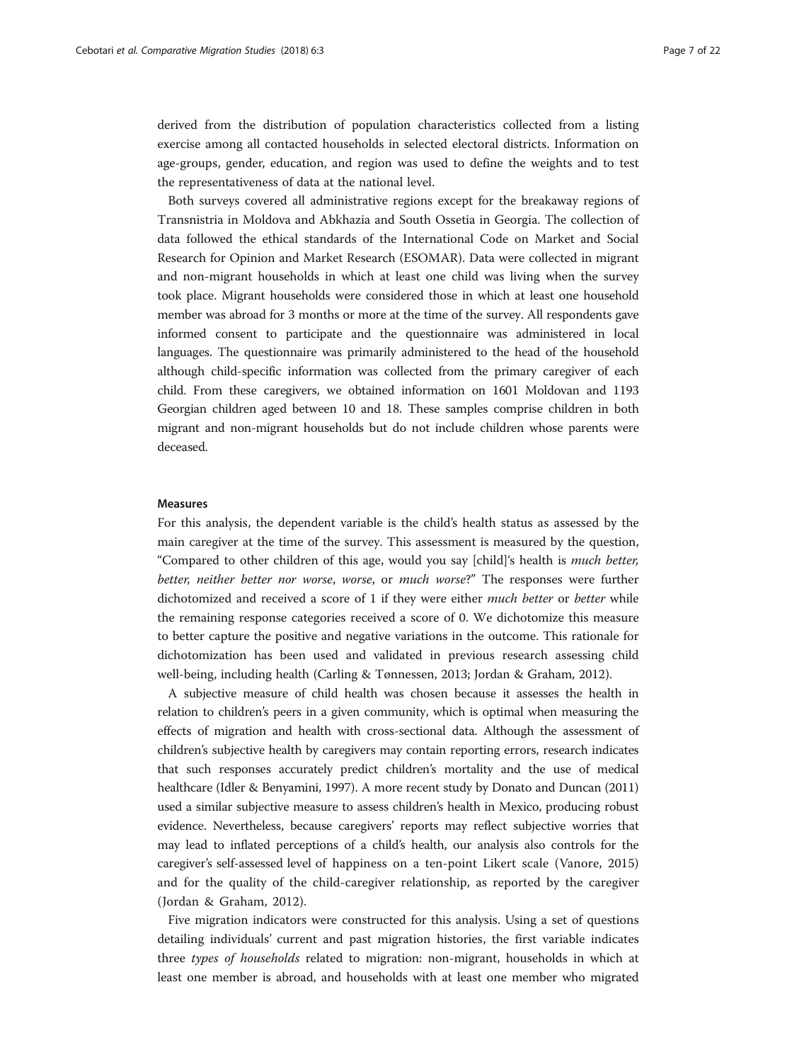derived from the distribution of population characteristics collected from a listing exercise among all contacted households in selected electoral districts. Information on age-groups, gender, education, and region was used to define the weights and to test the representativeness of data at the national level.

Both surveys covered all administrative regions except for the breakaway regions of Transnistria in Moldova and Abkhazia and South Ossetia in Georgia. The collection of data followed the ethical standards of the International Code on Market and Social Research for Opinion and Market Research (ESOMAR). Data were collected in migrant and non-migrant households in which at least one child was living when the survey took place. Migrant households were considered those in which at least one household member was abroad for 3 months or more at the time of the survey. All respondents gave informed consent to participate and the questionnaire was administered in local languages. The questionnaire was primarily administered to the head of the household although child-specific information was collected from the primary caregiver of each child. From these caregivers, we obtained information on 1601 Moldovan and 1193 Georgian children aged between 10 and 18. These samples comprise children in both migrant and non-migrant households but do not include children whose parents were deceased.

## Measures

For this analysis, the dependent variable is the child's health status as assessed by the main caregiver at the time of the survey. This assessment is measured by the question, "Compared to other children of this age, would you say [child]'s health is *much better*, better, neither better nor worse, worse, or much worse?" The responses were further dichotomized and received a score of 1 if they were either *much better* or *better* while the remaining response categories received a score of 0. We dichotomize this measure to better capture the positive and negative variations in the outcome. This rationale for dichotomization has been used and validated in previous research assessing child well-being, including health (Carling & Tønnessen, [2013](#page-20-0); Jordan & Graham, [2012](#page-20-0)).

A subjective measure of child health was chosen because it assesses the health in relation to children's peers in a given community, which is optimal when measuring the effects of migration and health with cross-sectional data. Although the assessment of children's subjective health by caregivers may contain reporting errors, research indicates that such responses accurately predict children's mortality and the use of medical healthcare (Idler & Benyamini, [1997](#page-20-0)). A more recent study by Donato and Duncan [\(2011](#page-20-0)) used a similar subjective measure to assess children's health in Mexico, producing robust evidence. Nevertheless, because caregivers' reports may reflect subjective worries that may lead to inflated perceptions of a child's health, our analysis also controls for the caregiver's self-assessed level of happiness on a ten-point Likert scale (Vanore, [2015](#page-21-0)) and for the quality of the child-caregiver relationship, as reported by the caregiver (Jordan & Graham, [2012\)](#page-20-0).

Five migration indicators were constructed for this analysis. Using a set of questions detailing individuals' current and past migration histories, the first variable indicates three types of households related to migration: non-migrant, households in which at least one member is abroad, and households with at least one member who migrated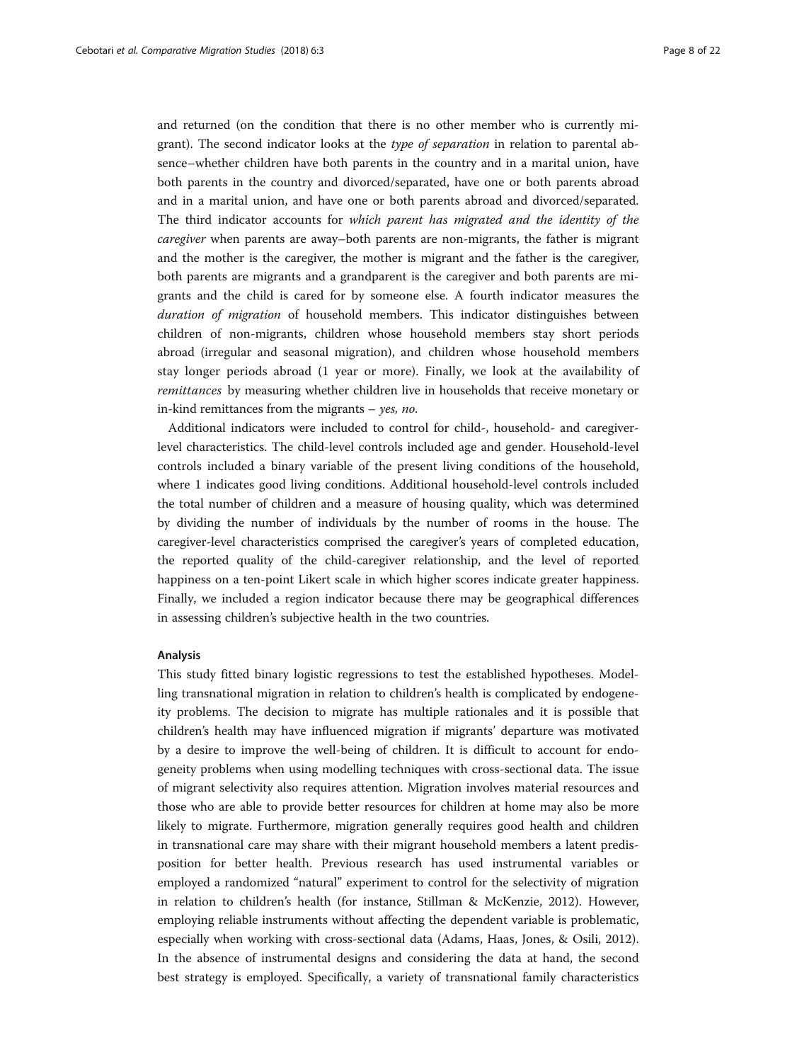and returned (on the condition that there is no other member who is currently migrant). The second indicator looks at the *type of separation* in relation to parental absence–whether children have both parents in the country and in a marital union, have both parents in the country and divorced/separated, have one or both parents abroad and in a marital union, and have one or both parents abroad and divorced/separated. The third indicator accounts for which parent has migrated and the identity of the caregiver when parents are away–both parents are non-migrants, the father is migrant and the mother is the caregiver, the mother is migrant and the father is the caregiver, both parents are migrants and a grandparent is the caregiver and both parents are migrants and the child is cared for by someone else. A fourth indicator measures the duration of migration of household members. This indicator distinguishes between children of non-migrants, children whose household members stay short periods abroad (irregular and seasonal migration), and children whose household members stay longer periods abroad (1 year or more). Finally, we look at the availability of remittances by measuring whether children live in households that receive monetary or in-kind remittances from the migrants  $-$  yes, no.

Additional indicators were included to control for child-, household- and caregiverlevel characteristics. The child-level controls included age and gender. Household-level controls included a binary variable of the present living conditions of the household, where 1 indicates good living conditions. Additional household-level controls included the total number of children and a measure of housing quality, which was determined by dividing the number of individuals by the number of rooms in the house. The caregiver-level characteristics comprised the caregiver's years of completed education, the reported quality of the child-caregiver relationship, and the level of reported happiness on a ten-point Likert scale in which higher scores indicate greater happiness. Finally, we included a region indicator because there may be geographical differences in assessing children's subjective health in the two countries.

# Analysis

This study fitted binary logistic regressions to test the established hypotheses. Modelling transnational migration in relation to children's health is complicated by endogeneity problems. The decision to migrate has multiple rationales and it is possible that children's health may have influenced migration if migrants' departure was motivated by a desire to improve the well-being of children. It is difficult to account for endogeneity problems when using modelling techniques with cross-sectional data. The issue of migrant selectivity also requires attention. Migration involves material resources and those who are able to provide better resources for children at home may also be more likely to migrate. Furthermore, migration generally requires good health and children in transnational care may share with their migrant household members a latent predisposition for better health. Previous research has used instrumental variables or employed a randomized "natural" experiment to control for the selectivity of migration in relation to children's health (for instance, Stillman & McKenzie, [2012\)](#page-20-0). However, employing reliable instruments without affecting the dependent variable is problematic, especially when working with cross-sectional data (Adams, Haas, Jones, & Osili, [2012](#page-19-0)). In the absence of instrumental designs and considering the data at hand, the second best strategy is employed. Specifically, a variety of transnational family characteristics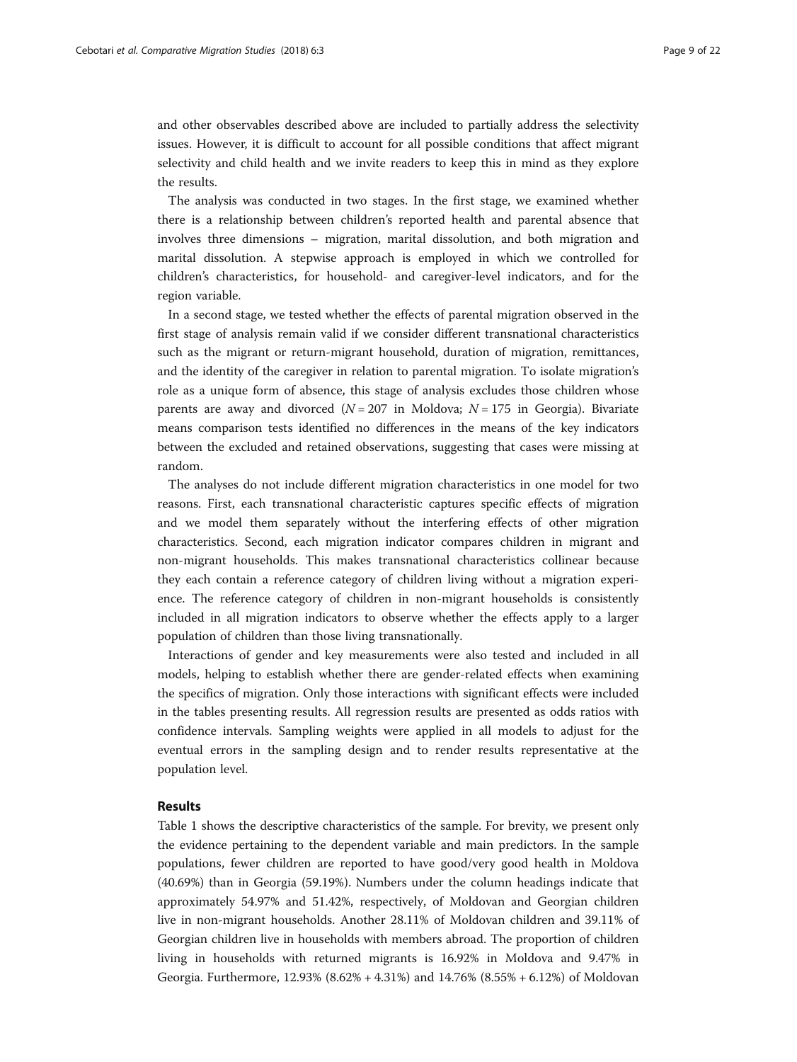and other observables described above are included to partially address the selectivity issues. However, it is difficult to account for all possible conditions that affect migrant selectivity and child health and we invite readers to keep this in mind as they explore the results.

The analysis was conducted in two stages. In the first stage, we examined whether there is a relationship between children's reported health and parental absence that involves three dimensions – migration, marital dissolution, and both migration and marital dissolution. A stepwise approach is employed in which we controlled for children's characteristics, for household- and caregiver-level indicators, and for the region variable.

In a second stage, we tested whether the effects of parental migration observed in the first stage of analysis remain valid if we consider different transnational characteristics such as the migrant or return-migrant household, duration of migration, remittances, and the identity of the caregiver in relation to parental migration. To isolate migration's role as a unique form of absence, this stage of analysis excludes those children whose parents are away and divorced ( $N = 207$  in Moldova;  $N = 175$  in Georgia). Bivariate means comparison tests identified no differences in the means of the key indicators between the excluded and retained observations, suggesting that cases were missing at random.

The analyses do not include different migration characteristics in one model for two reasons. First, each transnational characteristic captures specific effects of migration and we model them separately without the interfering effects of other migration characteristics. Second, each migration indicator compares children in migrant and non-migrant households. This makes transnational characteristics collinear because they each contain a reference category of children living without a migration experience. The reference category of children in non-migrant households is consistently included in all migration indicators to observe whether the effects apply to a larger population of children than those living transnationally.

Interactions of gender and key measurements were also tested and included in all models, helping to establish whether there are gender-related effects when examining the specifics of migration. Only those interactions with significant effects were included in the tables presenting results. All regression results are presented as odds ratios with confidence intervals. Sampling weights were applied in all models to adjust for the eventual errors in the sampling design and to render results representative at the population level.

# Results

Table [1](#page-9-0) shows the descriptive characteristics of the sample. For brevity, we present only the evidence pertaining to the dependent variable and main predictors. In the sample populations, fewer children are reported to have good/very good health in Moldova (40.69%) than in Georgia (59.19%). Numbers under the column headings indicate that approximately 54.97% and 51.42%, respectively, of Moldovan and Georgian children live in non-migrant households. Another 28.11% of Moldovan children and 39.11% of Georgian children live in households with members abroad. The proportion of children living in households with returned migrants is 16.92% in Moldova and 9.47% in Georgia. Furthermore, 12.93% (8.62% + 4.31%) and 14.76% (8.55% + 6.12%) of Moldovan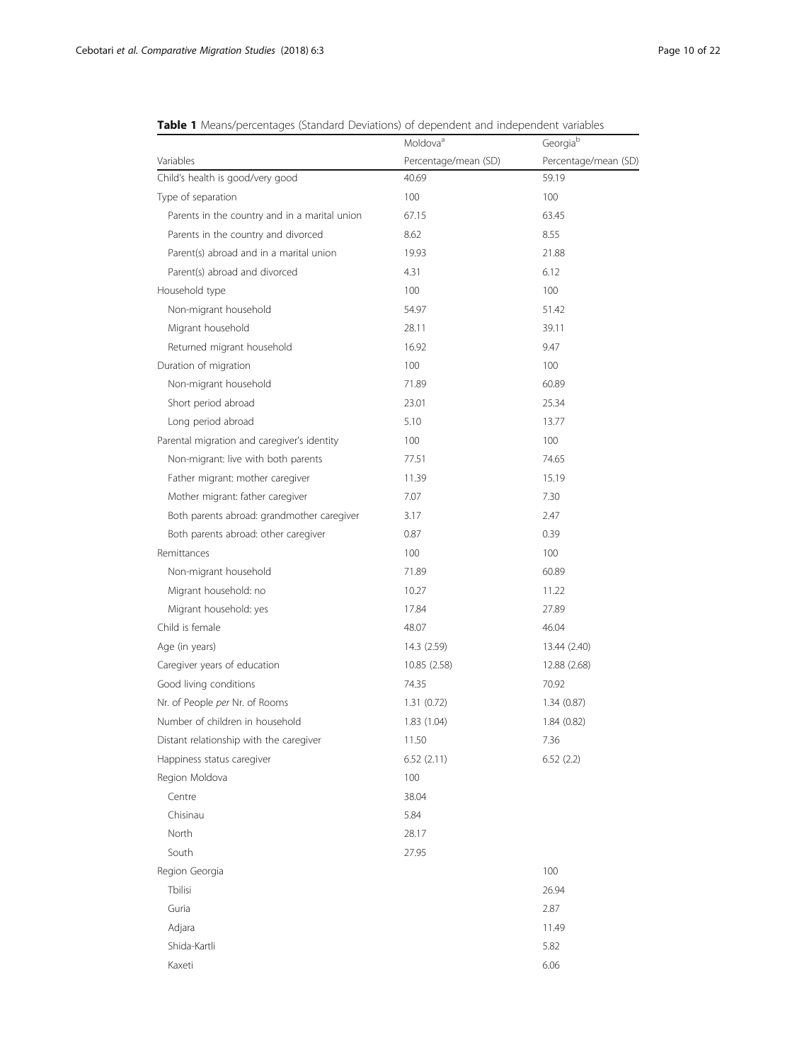|                                               | Moldova <sup>a</sup> | Georgiab             |
|-----------------------------------------------|----------------------|----------------------|
| Variables                                     | Percentage/mean (SD) | Percentage/mean (SD) |
| Child's health is good/very good              | 40.69                | 59.19                |
| Type of separation                            | 100                  | 100                  |
| Parents in the country and in a marital union | 67.15                | 63.45                |
| Parents in the country and divorced           | 8.62                 | 8.55                 |
| Parent(s) abroad and in a marital union       | 19.93                | 21.88                |
| Parent(s) abroad and divorced                 | 4.31                 | 6.12                 |
| Household type                                | 100                  | 100                  |
| Non-migrant household                         | 54.97                | 51.42                |
| Migrant household                             | 28.11                | 39.11                |
| Returned migrant household                    | 16.92                | 9.47                 |
| Duration of migration                         | 100                  | 100                  |
| Non-migrant household                         | 71.89                | 60.89                |
| Short period abroad                           | 23.01                | 25.34                |
| Long period abroad                            | 5.10                 | 13.77                |
| Parental migration and caregiver's identity   | 100                  | 100                  |
| Non-migrant: live with both parents           | 77.51                | 74.65                |
| Father migrant: mother caregiver              | 11.39                | 15.19                |
| Mother migrant: father caregiver              | 7.07                 | 7.30                 |
| Both parents abroad: grandmother caregiver    | 3.17                 | 2.47                 |
| Both parents abroad: other caregiver          | 0.87                 | 0.39                 |
| Remittances                                   | 100                  | 100                  |
| Non-migrant household                         | 71.89                | 60.89                |
| Migrant household: no                         | 10.27                | 11.22                |
| Migrant household: yes                        | 17.84                | 27.89                |
| Child is female                               | 48.07                | 46.04                |
| Age (in years)                                | 14.3 (2.59)          | 13.44 (2.40)         |
| Caregiver years of education                  | 10.85(2.58)          | 12.88 (2.68)         |
| Good living conditions                        | 74.35                | 70.92                |
| Nr. of People per Nr. of Rooms                | 1.31(0.72)           | 1.34(0.87)           |
| Number of children in household               | 1.83(1.04)           | 1.84(0.82)           |
| Distant relationship with the caregiver       | 11.50                | 7.36                 |
| Happiness status caregiver                    | 6.52(2.11)           | 6.52(2.2)            |
| Region Moldova                                | 100                  |                      |
| Centre                                        | 38.04                |                      |
| Chisinau                                      | 5.84                 |                      |
| North                                         | 28.17                |                      |
| South                                         | 27.95                |                      |
| Region Georgia                                |                      | 100                  |
| Tbilisi                                       |                      | 26.94                |
| Guria                                         |                      | 2.87                 |
| Adjara                                        |                      | 11.49                |
| Shida-Kartli                                  |                      | 5.82                 |
| Kaxeti                                        |                      | 6.06                 |

# <span id="page-9-0"></span>Table 1 Means/percentages (Standard Deviations) of dependent and independent variables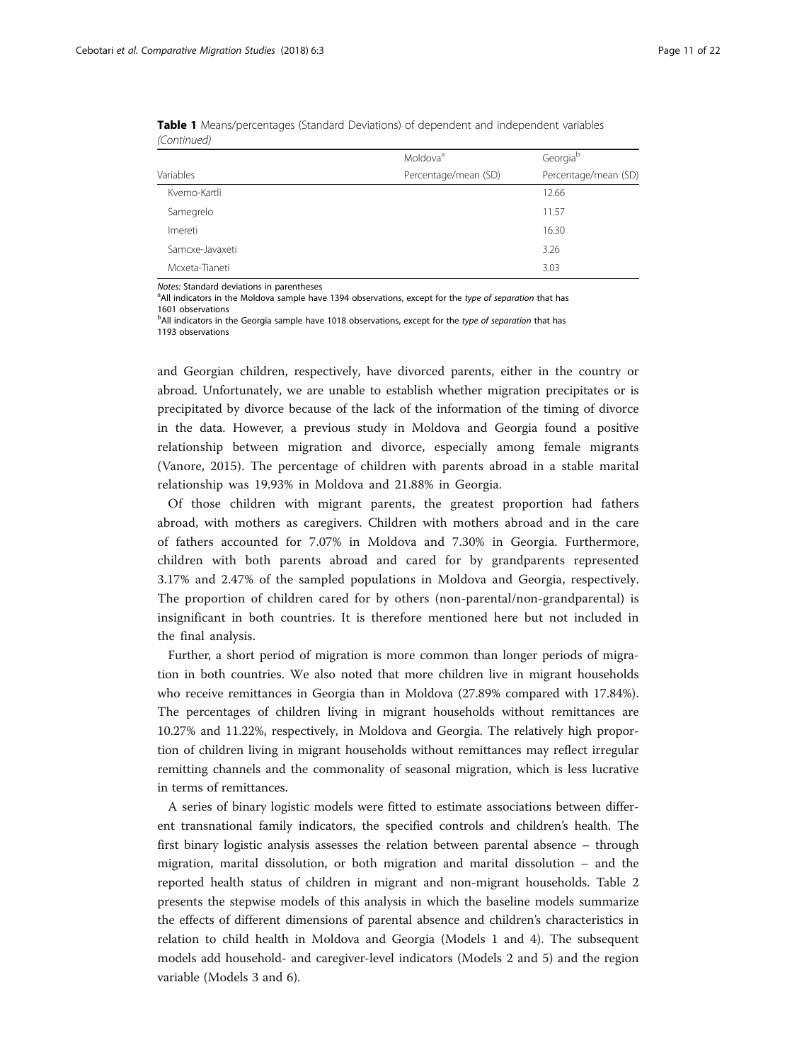| <b>Table 1</b> Means/percentages (Standard Deviations) of dependent and independent variables |                      |                      |
|-----------------------------------------------------------------------------------------------|----------------------|----------------------|
| (Continued)                                                                                   |                      |                      |
|                                                                                               | Moldova <sup>ª</sup> | Georgia <sup>p</sup> |

|                 | Moldova <sup>-</sup> | Georgia              |
|-----------------|----------------------|----------------------|
| Variables       | Percentage/mean (SD) | Percentage/mean (SD) |
| Kvemo-Kartli    |                      | 12.66                |
| Samegrelo       |                      | 11.57                |
| Imereti         |                      | 16.30                |
| Samcxe-Javaxeti |                      | 3.26                 |
| Mcxeta-Tianeti  |                      | 3.03                 |

Notes: Standard deviations in parentheses

<sup>a</sup> All indicators in the Moldova sample have 1394 observations, except for the type of separation that has

1601 observations

<sup>b</sup>All indicators in the Georgia sample have 1018 observations, except for the type of separation that has 1193 observations

and Georgian children, respectively, have divorced parents, either in the country or abroad. Unfortunately, we are unable to establish whether migration precipitates or is precipitated by divorce because of the lack of the information of the timing of divorce in the data. However, a previous study in Moldova and Georgia found a positive relationship between migration and divorce, especially among female migrants (Vanore, [2015](#page-21-0)). The percentage of children with parents abroad in a stable marital relationship was 19.93% in Moldova and 21.88% in Georgia.

Of those children with migrant parents, the greatest proportion had fathers abroad, with mothers as caregivers. Children with mothers abroad and in the care of fathers accounted for 7.07% in Moldova and 7.30% in Georgia. Furthermore, children with both parents abroad and cared for by grandparents represented 3.17% and 2.47% of the sampled populations in Moldova and Georgia, respectively. The proportion of children cared for by others (non-parental/non-grandparental) is insignificant in both countries. It is therefore mentioned here but not included in the final analysis.

Further, a short period of migration is more common than longer periods of migration in both countries. We also noted that more children live in migrant households who receive remittances in Georgia than in Moldova (27.89% compared with 17.84%). The percentages of children living in migrant households without remittances are 10.27% and 11.22%, respectively, in Moldova and Georgia. The relatively high proportion of children living in migrant households without remittances may reflect irregular remitting channels and the commonality of seasonal migration, which is less lucrative in terms of remittances.

A series of binary logistic models were fitted to estimate associations between different transnational family indicators, the specified controls and children's health. The first binary logistic analysis assesses the relation between parental absence – through migration, marital dissolution, or both migration and marital dissolution – and the reported health status of children in migrant and non-migrant households. Table [2](#page-11-0) presents the stepwise models of this analysis in which the baseline models summarize the effects of different dimensions of parental absence and children's characteristics in relation to child health in Moldova and Georgia (Models 1 and 4). The subsequent models add household- and caregiver-level indicators (Models 2 and 5) and the region variable (Models 3 and 6).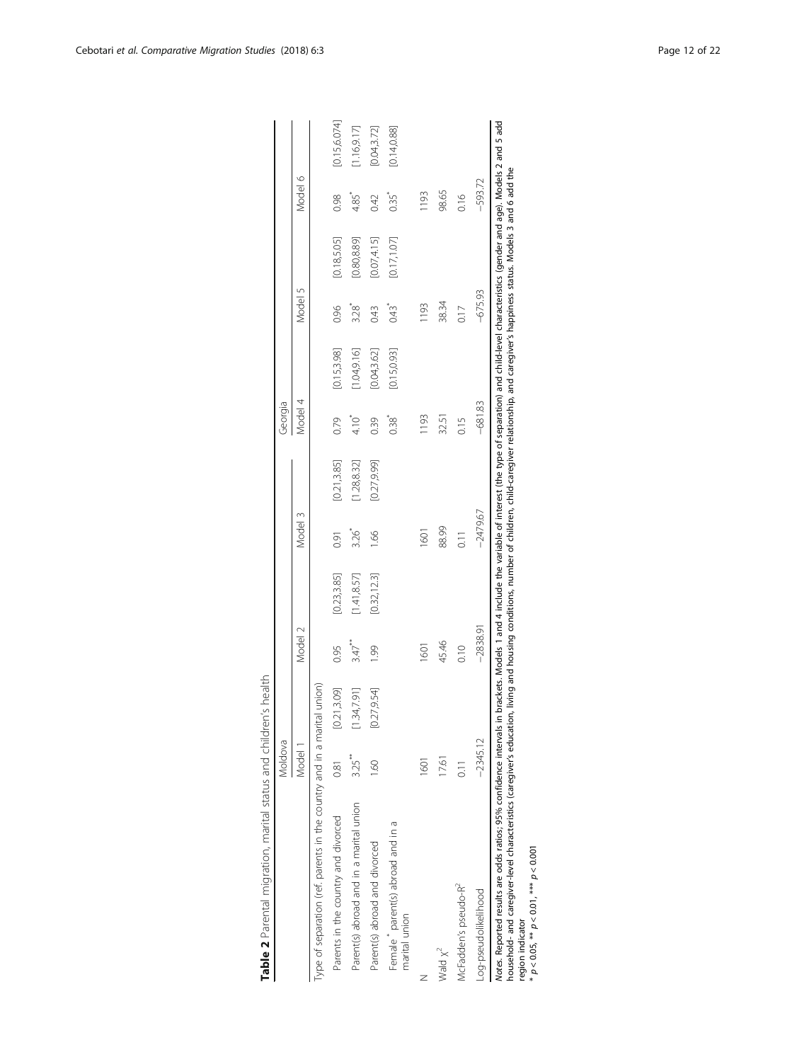<span id="page-11-0"></span>

|                                                                                                                                                                                                                                                                                                       | Moldova              |              |                      |              |                   |              | Georgia             |              |           |                                                                                                                                                         |           |               |
|-------------------------------------------------------------------------------------------------------------------------------------------------------------------------------------------------------------------------------------------------------------------------------------------------------|----------------------|--------------|----------------------|--------------|-------------------|--------------|---------------------|--------------|-----------|---------------------------------------------------------------------------------------------------------------------------------------------------------|-----------|---------------|
|                                                                                                                                                                                                                                                                                                       | Model 1              |              | Model 2              |              | Model 3           |              | Model 4             |              | Model 5   |                                                                                                                                                         | Model 6   |               |
| Type of separation (ref. parents in the country and in a marital union)                                                                                                                                                                                                                               |                      |              |                      |              |                   |              |                     |              |           |                                                                                                                                                         |           |               |
| Parents in the country and divorced                                                                                                                                                                                                                                                                   | $\overline{0.81}$    | [0.21, 3.09] | 0.95                 | [0.23, 3.85] | 0.91              | [0.21, 3.85] | 0.79                | [0.15, 3.98] | 0.96      | [0.18, 5.05]                                                                                                                                            | 0.98      | [0.15, 6.074] |
| Parent(s) abroad and in a marital union                                                                                                                                                                                                                                                               | $3.25$ <sup>**</sup> | [1.34, 7.91] | $3.47$ <sup>**</sup> | [1.41, 8.57] | 326°              | 1.28, 8.32   | $4.10$ <sup>*</sup> | 1.04, 9.16   | .<br>328  | [0.80, 8.89]                                                                                                                                            | 4.85      | 1.16, 9.17    |
| Parent(s) abroad and divorced                                                                                                                                                                                                                                                                         | $\mathcal{S}$        | [0.27, 9.54] | 1.99                 | [0.32, 12.3] | $\frac{66}{1}$    | [0.27, 9.99] | 0.39                | 0.04, 3.62   | 0.43      | [0.07, 4.15]                                                                                                                                            | 0.42      | [0.04, 3.72]  |
| Female "parent(s) abroad and in a<br>marital union                                                                                                                                                                                                                                                    |                      |              |                      |              |                   |              | .<br>0.38           | [0.15, 0.93] | -<br>0.43 | 0.17, 1.07                                                                                                                                              | °50,      | 0.14,0.88]    |
|                                                                                                                                                                                                                                                                                                       | 1601                 |              | 1601                 |              | 1601              |              | 1193                |              | 1193      |                                                                                                                                                         | 1193      |               |
| Nald X <sup>2</sup>                                                                                                                                                                                                                                                                                   | 17.61                |              | 45.46                |              | 88.99             |              | 32.51               |              | 38.34     |                                                                                                                                                         | 98.65     |               |
| McFadden's pseudo-R <sup>2</sup>                                                                                                                                                                                                                                                                      |                      |              | 0.10                 |              | $\overline{0.11}$ |              | $\frac{5}{2}$       |              | 0.17      |                                                                                                                                                         | 0.16      |               |
| -oq-pseudolikelihood                                                                                                                                                                                                                                                                                  | $-2345.12$           |              | $-2838.91$           |              | $-2479.67$        |              | $-681.83$           |              | $-675.93$ |                                                                                                                                                         | $-593.72$ |               |
| household- and caregiver-level characteristics (caregiver's education, living and housing conditions, number of children, childrean erlationship, and caregiver's happiness status. Models 3 and 6 add the<br>Notes. Reported results are odds ratios; 95% confidence intervals in<br>egion indicator |                      |              |                      |              |                   |              |                     |              |           | brackets. Models 1 and 4 include the variable of interest (the type of separation) and child-level characteristics (gender and age). Models 2 and 5 add |           |               |

| ï<br>I<br>J                                               |
|-----------------------------------------------------------|
| ţ<br>ļ<br>j<br>ï<br>ţ<br>ī<br>I                           |
| ₹<br>S<br>d<br>١<br>S<br>i                                |
| I<br>J<br>l<br>ş                                          |
| S<br>$\frac{1}{2}$<br>ļ<br>j<br>j<br>$\ddot{\phantom{a}}$ |
| j<br>Ï                                                    |
| ı<br>١<br>l                                               |

\*  $p < 0.05$ , \*\*  $p < 0.01$ , \*\*\*  $p < 0.001$ p < 0.05, \*\* p < 0.01, \*\*\* p < 0.001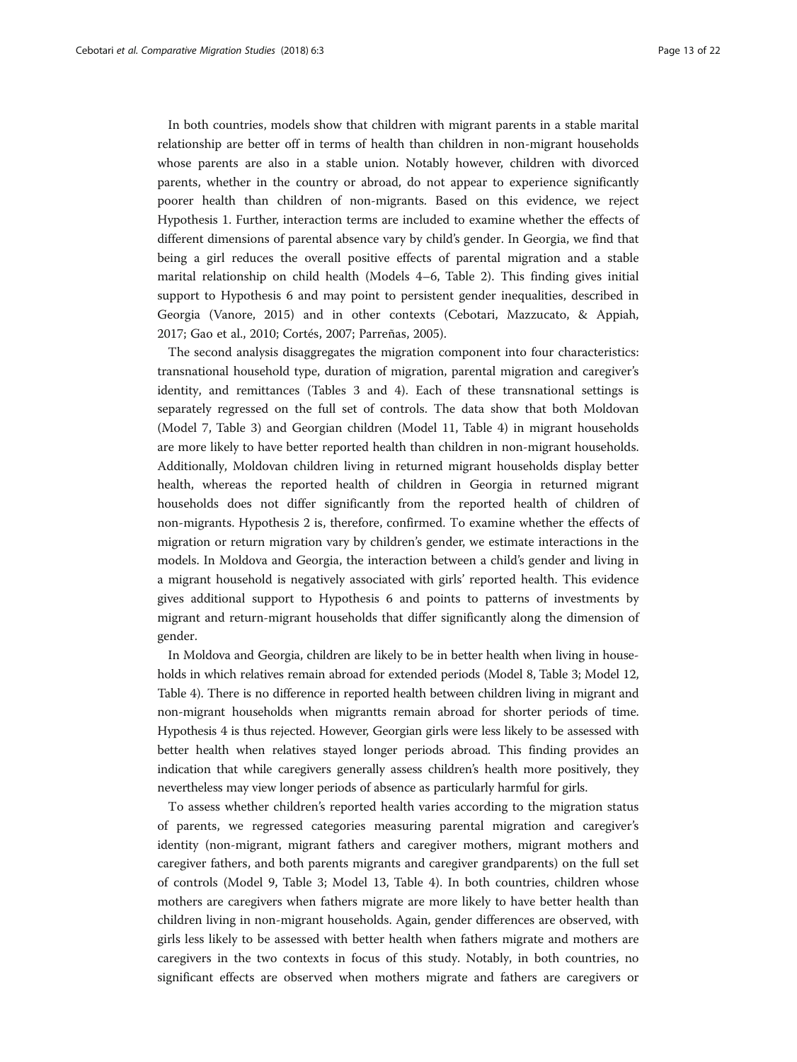In both countries, models show that children with migrant parents in a stable marital relationship are better off in terms of health than children in non-migrant households whose parents are also in a stable union. Notably however, children with divorced parents, whether in the country or abroad, do not appear to experience significantly poorer health than children of non-migrants. Based on this evidence, we reject Hypothesis 1. Further, interaction terms are included to examine whether the effects of different dimensions of parental absence vary by child's gender. In Georgia, we find that being a girl reduces the overall positive effects of parental migration and a stable marital relationship on child health (Models 4–6, Table [2](#page-11-0)). This finding gives initial support to Hypothesis 6 and may point to persistent gender inequalities, described in Georgia (Vanore, [2015](#page-21-0)) and in other contexts (Cebotari, Mazzucato, & Appiah, [2017](#page-20-0); Gao et al., [2010](#page-20-0); Cortés, [2007](#page-20-0); Parreñas, [2005\)](#page-20-0).

The second analysis disaggregates the migration component into four characteristics: transnational household type, duration of migration, parental migration and caregiver's identity, and remittances (Tables [3](#page-13-0) and [4\)](#page-14-0). Each of these transnational settings is separately regressed on the full set of controls. The data show that both Moldovan (Model 7, Table [3](#page-13-0)) and Georgian children (Model 11, Table [4\)](#page-14-0) in migrant households are more likely to have better reported health than children in non-migrant households. Additionally, Moldovan children living in returned migrant households display better health, whereas the reported health of children in Georgia in returned migrant households does not differ significantly from the reported health of children of non-migrants. Hypothesis 2 is, therefore, confirmed. To examine whether the effects of migration or return migration vary by children's gender, we estimate interactions in the models. In Moldova and Georgia, the interaction between a child's gender and living in a migrant household is negatively associated with girls' reported health. This evidence gives additional support to Hypothesis 6 and points to patterns of investments by migrant and return-migrant households that differ significantly along the dimension of gender.

In Moldova and Georgia, children are likely to be in better health when living in households in which relatives remain abroad for extended periods (Model 8, Table [3](#page-13-0); Model 12, Table [4](#page-14-0)). There is no difference in reported health between children living in migrant and non-migrant households when migrantts remain abroad for shorter periods of time. Hypothesis 4 is thus rejected. However, Georgian girls were less likely to be assessed with better health when relatives stayed longer periods abroad. This finding provides an indication that while caregivers generally assess children's health more positively, they nevertheless may view longer periods of absence as particularly harmful for girls.

To assess whether children's reported health varies according to the migration status of parents, we regressed categories measuring parental migration and caregiver's identity (non-migrant, migrant fathers and caregiver mothers, migrant mothers and caregiver fathers, and both parents migrants and caregiver grandparents) on the full set of controls (Model 9, Table [3](#page-13-0); Model 13, Table [4](#page-14-0)). In both countries, children whose mothers are caregivers when fathers migrate are more likely to have better health than children living in non-migrant households. Again, gender differences are observed, with girls less likely to be assessed with better health when fathers migrate and mothers are caregivers in the two contexts in focus of this study. Notably, in both countries, no significant effects are observed when mothers migrate and fathers are caregivers or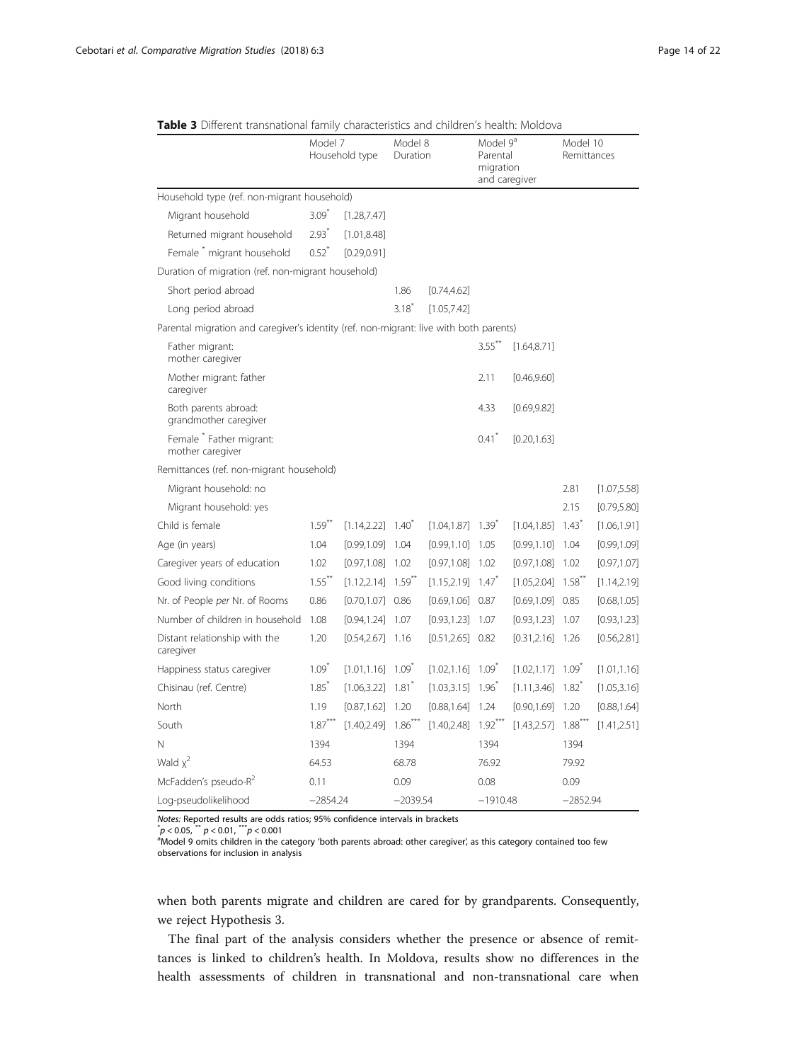|                                                                                        | Model 7              | Household type                    | Model 8<br>Duration  |                                    | Model 9 <sup>a</sup><br>Parental<br>migration<br>and caregiver |                                                     | Model 10<br>Remittances |              |
|----------------------------------------------------------------------------------------|----------------------|-----------------------------------|----------------------|------------------------------------|----------------------------------------------------------------|-----------------------------------------------------|-------------------------|--------------|
| Household type (ref. non-migrant household)                                            |                      |                                   |                      |                                    |                                                                |                                                     |                         |              |
| Migrant household                                                                      | 3.09                 | [1.28, 7.47]                      |                      |                                    |                                                                |                                                     |                         |              |
| Returned migrant household                                                             | $2.93^{\degree}$     | [1.01, 8.48]                      |                      |                                    |                                                                |                                                     |                         |              |
| Female <sup>*</sup> migrant household                                                  | $0.52^{\degree}$     | [0.29, 0.91]                      |                      |                                    |                                                                |                                                     |                         |              |
| Duration of migration (ref. non-migrant household)                                     |                      |                                   |                      |                                    |                                                                |                                                     |                         |              |
| Short period abroad                                                                    |                      |                                   | 1.86                 | [0.74, 4.62]                       |                                                                |                                                     |                         |              |
| Long period abroad                                                                     |                      |                                   | $3.18^{*}$           | [1.05, 7.42]                       |                                                                |                                                     |                         |              |
| Parental migration and caregiver's identity (ref. non-migrant: live with both parents) |                      |                                   |                      |                                    |                                                                |                                                     |                         |              |
| Father migrant:<br>mother caregiver                                                    |                      |                                   |                      |                                    | $3.55$ <sup>**</sup>                                           | [1.64, 8.71]                                        |                         |              |
| Mother migrant: father<br>caregiver                                                    |                      |                                   |                      |                                    | 2.11                                                           | [0.46, 9.60]                                        |                         |              |
| Both parents abroad:<br>grandmother caregiver                                          |                      |                                   |                      |                                    | 4.33                                                           | [0.69, 9.82]                                        |                         |              |
| Female * Father migrant:<br>mother caregiver                                           |                      |                                   |                      |                                    | $0.41$ <sup>*</sup>                                            | [0.20, 1.63]                                        |                         |              |
| Remittances (ref. non-migrant household)                                               |                      |                                   |                      |                                    |                                                                |                                                     |                         |              |
| Migrant household: no                                                                  |                      |                                   |                      |                                    |                                                                |                                                     | 2.81                    | [1.07, 5.58] |
| Migrant household: yes                                                                 |                      |                                   |                      |                                    |                                                                |                                                     | 2.15                    | [0.79, 5.80] |
| Child is female                                                                        | $1.59$ <sup>**</sup> | $[1.14, 2.22]$ 1.40 <sup>*</sup>  |                      | $[1.04, 1.87]$ 1.39 <sup>*</sup>   |                                                                | $\begin{bmatrix} 1.04, 1.85 \end{bmatrix}$ 1.43     |                         | [1.06, 1.91] |
| Age (in years)                                                                         | 1.04                 | [0.99, 1.09]                      | 1.04                 | [0.99, 1.10]                       | 1.05                                                           | [0.99, 1.10]                                        | 1.04                    | [0.99, 1.09] |
| Caregiver years of education                                                           | 1.02                 | $[0.97, 1.08]$ 1.02               |                      | $[0.97, 1.08]$ 1.02                |                                                                | $[0.97, 1.08]$ 1.02                                 |                         | [0.97, 1.07] |
| Good living conditions                                                                 | $1.55^{**}$          | $[1.12, 2.14]$ 1.59 <sup>**</sup> |                      | $[1.15, 2.19]$ 1.47 <sup>°</sup>   |                                                                | $[1.05, 2.04]$ 1.58 <sup><math>\degree</math></sup> |                         | [1.14, 2.19] |
| Nr. of People per Nr. of Rooms                                                         | 0.86                 | $[0.70, 1.07]$ 0.86               |                      | $[0.69, 1.06]$ 0.87                |                                                                | $[0.69, 1.09]$ 0.85                                 |                         | [0.68, 1.05] |
| Number of children in household                                                        | 1.08                 | [0.94, 1.24]                      | 1.07                 | $[0.93, 1.23]$ 1.07                |                                                                | $[0.93, 1.23]$ 1.07                                 |                         | [0.93, 1.23] |
| Distant relationship with the<br>caregiver                                             | 1.20                 | $[0.54, 2.67]$ 1.16               |                      | $[0.51, 2.65]$ 0.82                |                                                                | $[0.31, 2.16]$ 1.26                                 |                         | [0.56, 2.81] |
| Happiness status caregiver                                                             | 1.09 <sup>2</sup>    | [1.01, 1.16]                      | $1.09$ <sup>*</sup>  | [1.02, 1.16]                       | $1.09$ <sup>*</sup>                                            | $[1.02, 1.17]$ 1.09 <sup>*</sup>                    |                         | [1.01, 1.16] |
| Chisinau (ref. Centre)                                                                 | $1.85^{*}$           | [1.06, 3.22]                      | $1.81$ <sup>*</sup>  | $[1.03, 3.15]$ 1.96 <sup>*</sup>   |                                                                | $[1.11, 3.46]$ 1.82 <sup>*</sup>                    |                         | [1.05, 3.16] |
| North                                                                                  | 1.19                 | [0.87, 1.62]                      | 1.20                 | $[0.88, 1.64]$ 1.24                |                                                                | [0.90, 1.69]                                        | 1.20                    | [0.88, 1.64] |
| South                                                                                  | $1.87***$            | [1.40, 2.49]                      | $1.86$ <sup>**</sup> | $[1.40, 2.48]$ 1.92 <sup>***</sup> |                                                                | [1.43, 2.57]                                        | 1.88^^                  | [1.41, 2.51] |
| Ν                                                                                      | 1394                 |                                   | 1394                 |                                    | 1394                                                           |                                                     | 1394                    |              |
| Wald $x^2$                                                                             | 64.53                |                                   | 68.78                |                                    | 76.92                                                          |                                                     | 79.92                   |              |
| McFadden's pseudo-R <sup>2</sup>                                                       | 0.11                 |                                   | 0.09                 |                                    | 0.08                                                           |                                                     | 0.09                    |              |
| Log-pseudolikelihood                                                                   | $-2854.24$           |                                   | $-2039.54$           |                                    | $-1910.48$                                                     |                                                     | $-2852.94$              |              |

<span id="page-13-0"></span>Table 3 Different transnational family characteristics and children's health: Moldova

Notes: Reported results are odds ratios; 95% confidence intervals in brackets \*

 $p < 0.05$ ,  $p < 0.01$ ,  $p > 0.001$ 

<sup>a</sup>Model 9 omits children in the category 'both parents abroad: other caregiver', as this category contained too few observations for inclusion in analysis

when both parents migrate and children are cared for by grandparents. Consequently, we reject Hypothesis 3.

The final part of the analysis considers whether the presence or absence of remittances is linked to children's health. In Moldova, results show no differences in the health assessments of children in transnational and non-transnational care when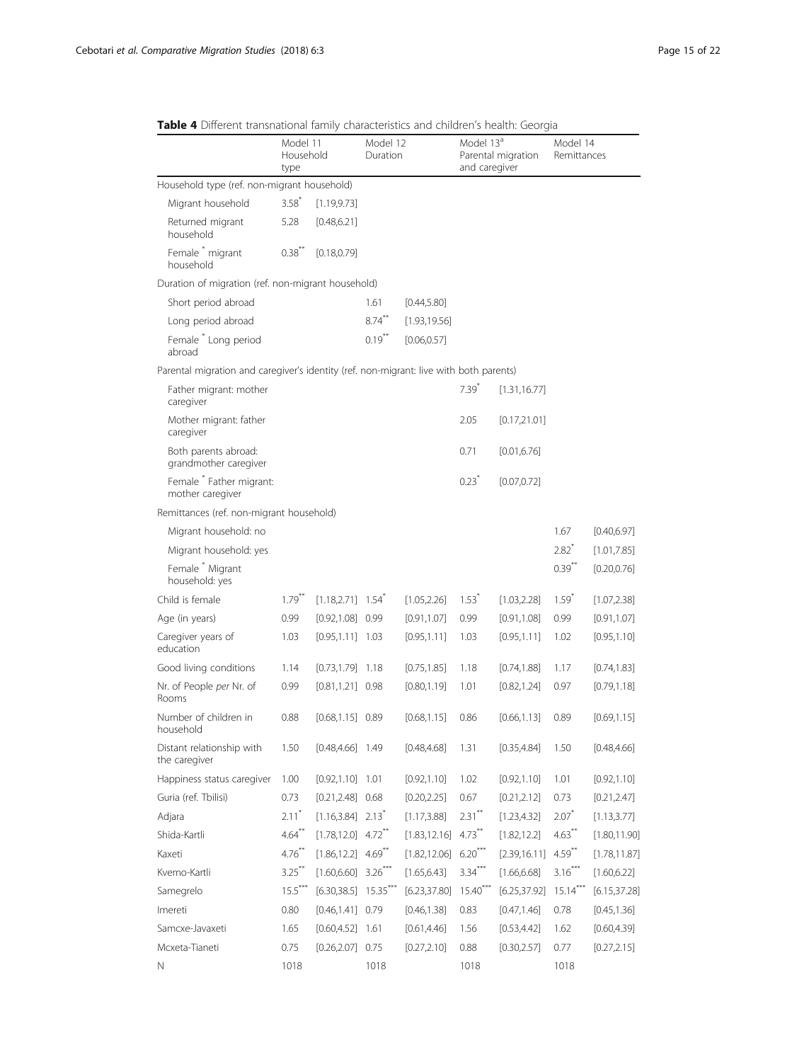| <b>T</b> Director Garbiaconal lating characteristics and children's neater. Georgia    | Model 11<br>Household<br>type |                                  | Model 12<br>Duration  |               | Model 13 <sup>a</sup><br>Parental migration<br>and caregiver |               | Model 14<br>Remittances |               |
|----------------------------------------------------------------------------------------|-------------------------------|----------------------------------|-----------------------|---------------|--------------------------------------------------------------|---------------|-------------------------|---------------|
| Household type (ref. non-migrant household)                                            |                               |                                  |                       |               |                                                              |               |                         |               |
| Migrant household                                                                      | $3.58^{*}$                    | [1.19, 9.73]                     |                       |               |                                                              |               |                         |               |
| Returned migrant<br>household                                                          | 5.28                          | [0.48, 6.21]                     |                       |               |                                                              |               |                         |               |
| Female * migrant<br>household                                                          | $0.38$ **                     | [0.18, 0.79]                     |                       |               |                                                              |               |                         |               |
| Duration of migration (ref. non-migrant household)                                     |                               |                                  |                       |               |                                                              |               |                         |               |
| Short period abroad                                                                    |                               |                                  | 1.61                  | [0.44, 5.80]  |                                                              |               |                         |               |
| Long period abroad                                                                     |                               |                                  | $8.74***$             | [1.93, 19.56] |                                                              |               |                         |               |
| Female * Long period<br>abroad                                                         |                               |                                  | $0.19***$             | [0.06, 0.57]  |                                                              |               |                         |               |
| Parental migration and caregiver's identity (ref. non-migrant: live with both parents) |                               |                                  |                       |               |                                                              |               |                         |               |
| Father migrant: mother<br>caregiver                                                    |                               |                                  |                       |               | $7.39$ <sup>*</sup>                                          | [1.31, 16.77] |                         |               |
| Mother migrant: father<br>caregiver                                                    |                               |                                  |                       |               | 2.05                                                         | [0.17, 21.01] |                         |               |
| Both parents abroad:<br>grandmother caregiver                                          |                               |                                  |                       |               | 0.71                                                         | [0.01, 6.76]  |                         |               |
| Female * Father migrant:<br>mother caregiver                                           |                               |                                  |                       |               | 0.23                                                         | [0.07, 0.72]  |                         |               |
| Remittances (ref. non-migrant household)                                               |                               |                                  |                       |               |                                                              |               |                         |               |
| Migrant household: no                                                                  |                               |                                  |                       |               |                                                              |               | 1.67                    | [0.40, 6.97]  |
| Migrant household: yes                                                                 |                               |                                  |                       |               |                                                              |               | $2.82^{\degree}$        | [1.01, 7.85]  |
| Female * Migrant<br>household: yes                                                     |                               |                                  |                       |               |                                                              |               | $0.39***$               | [0.20, 0.76]  |
| Child is female                                                                        | $1.79$ <sup>**</sup>          | $[1.18, 2.71]$ 1.54 <sup>*</sup> |                       | [1.05, 2.26]  | $1.53$ <sup>*</sup>                                          | [1.03, 2.28]  | 1.59                    | [1.07, 2.38]  |
| Age (in years)                                                                         | 0.99                          | $[0.92, 1.08]$ 0.99              |                       | [0.91, 1.07]  | 0.99                                                         | [0.91, 1.08]  | 0.99                    | [0.91, 1.07]  |
| Caregiver years of<br>education                                                        | 1.03                          | $[0.95, 1.11]$ 1.03              |                       | [0.95, 1.11]  | 1.03                                                         | [0.95, 1.11]  | 1.02                    | [0.95, 1.10]  |
| Good living conditions                                                                 | 1.14                          | $[0.73, 1.79]$ 1.18              |                       | [0.75, 1.85]  | 1.18                                                         | [0.74, 1.88]  | 1.17                    | [0.74, 1.83]  |
| Nr. of People per Nr. of<br>Rooms                                                      | 0.99                          | $[0.81, 1.21]$ 0.98              |                       | [0.80, 1.19]  | 1.01                                                         | [0.82, 1.24]  | 0.97                    | [0.79, 1.18]  |
| Number of children in<br>household                                                     | 0.88                          | $[0.68, 1.15]$ 0.89              |                       | [0.68, 1.15]  | 0.86                                                         | [0.66, 1.13]  | 0.89                    | [0.69, 1.15]  |
| Distant relationship with<br>the caregiver                                             | 1.50                          | $[0.48, 4.66]$ 1.49              |                       | [0.48, 4.68]  | 1.31                                                         | [0.35, 4.84]  | 1.50                    | [0.48, 4.66]  |
| Happiness status caregiver                                                             | 1.00                          | [0.92, 1.10]                     | 1.01                  | [0.92, 1.10]  | 1.02                                                         | [0.92, 1.10]  | 1.01                    | [0.92, 1.10]  |
| Guria (ref. Tbilisi)                                                                   | 0.73                          | [0.21, 2.48]                     | 0.68                  | [0.20, 2.25]  | 0.67                                                         | [0.21, 2.12]  | 0.73                    | [0.21, 2.47]  |
| Adjara                                                                                 | $2.11^{\circ}$                | [1.16, 3.84]                     | $2.13^{\degree}$      | [1.17, 3.88]  | $2.31$ <sup>**</sup>                                         | [1.23, 4.32]  | $2.07^{\degree}$        | [1.13, 3.77]  |
| Shida-Kartli                                                                           | $4.64***$                     | [1.78, 12.0]                     | $4.72$ <sup>**</sup>  | [1.83, 12.16] | $4.73***$                                                    | [1.82, 12.2]  | $4.63$ <sup>**</sup>    | [1.80, 11.90] |
| Kaxeti                                                                                 | $4.76$ **                     | [1.86, 12.2]                     | $4.69$ <sup>**</sup>  | [1.82, 12.06] | $6.20***$                                                    | [2.39, 16.11] | $4.59$ <sup>**</sup>    | [1.78, 11.87] |
| Kvemo-Kartli                                                                           | $3.25***$                     | [1.60, 6.60]                     | $3.26$ <sup>***</sup> | [1.65, 6.43]  | $3.34$ <sup>***</sup>                                        | [1.66, 6.68]  | $3.16$ <sup>***</sup>   | [1.60, 6.22]  |
| Samegrelo                                                                              | $15.5***$                     | [6.30, 38.5]                     | $15.35$ **            | [6.23, 37.80] | 15.40                                                        | [6.25, 37.92] | $15.14***$              | [6.15, 37.28] |
| Imereti                                                                                | 0.80                          | $[0.46, 1.41]$ 0.79              |                       | [0.46, 1.38]  | 0.83                                                         | [0.47, 1.46]  | 0.78                    | [0.45, 1.36]  |
| Samcxe-Javaxeti                                                                        | 1.65                          | [0.60, 4.52]                     | 1.61                  | [0.61, 4.46]  | 1.56                                                         | [0.53, 4.42]  | 1.62                    | [0.60, 4.39]  |
| Mcxeta-Tianeti                                                                         | 0.75                          | $[0.26, 2.07]$ 0.75              |                       | [0.27, 2.10]  | 0.88                                                         | [0.30, 2.57]  | 0.77                    | [0.27, 2.15]  |

N 1018 1018 1018 1018 1018

## <span id="page-14-0"></span>Table 4 Different transnational family characteristics and children's health: Georgia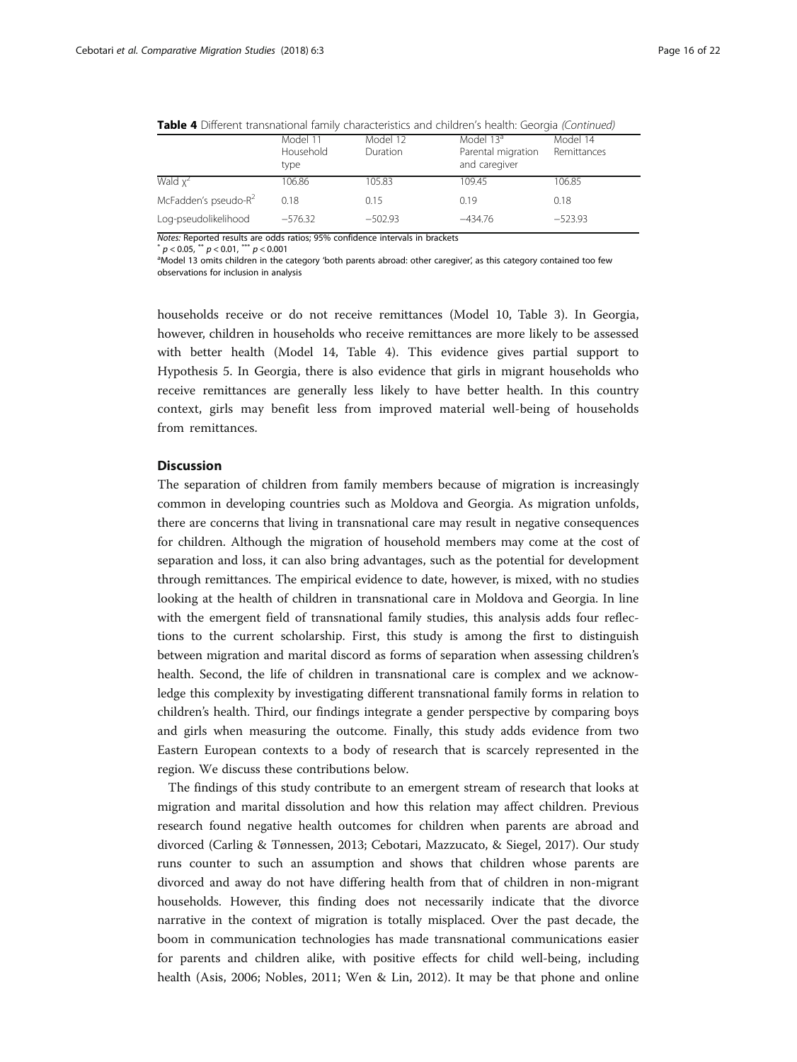| Model 11<br>Household<br>type | Model 12<br>Duration | Model 13 <sup>a</sup><br>Parental migration<br>and caregiver | Model 14<br>Remittances |
|-------------------------------|----------------------|--------------------------------------------------------------|-------------------------|
| 106.86                        | 105.83               | 109.45                                                       | 106.85                  |
| 0.18                          | 0.15                 | 0.19                                                         | 0.18                    |
| $-576.32$                     | $-502.93$            | $-434.76$                                                    | $-523.93$               |
|                               |                      |                                                              |                         |

Table 4 Different transnational family characteristics and children's health: Georgia (Continued)

Notes: Reported results are odds ratios; 95% confidence intervals in brackets  $\degree p < 0.05$ ,  $\degree^* p < 0.01$ ,  $\degree^* p < 0.001$ 

<sup>a</sup>Model 13 omits children in the category 'both parents abroad: other caregiver', as this category contained too few observations for inclusion in analysis

households receive or do not receive remittances (Model 10, Table [3](#page-13-0)). In Georgia, however, children in households who receive remittances are more likely to be assessed with better health (Model 14, Table [4\)](#page-14-0). This evidence gives partial support to Hypothesis 5. In Georgia, there is also evidence that girls in migrant households who receive remittances are generally less likely to have better health. In this country context, girls may benefit less from improved material well-being of households from remittances.

## **Discussion**

The separation of children from family members because of migration is increasingly common in developing countries such as Moldova and Georgia. As migration unfolds, there are concerns that living in transnational care may result in negative consequences for children. Although the migration of household members may come at the cost of separation and loss, it can also bring advantages, such as the potential for development through remittances. The empirical evidence to date, however, is mixed, with no studies looking at the health of children in transnational care in Moldova and Georgia. In line with the emergent field of transnational family studies, this analysis adds four reflections to the current scholarship. First, this study is among the first to distinguish between migration and marital discord as forms of separation when assessing children's health. Second, the life of children in transnational care is complex and we acknowledge this complexity by investigating different transnational family forms in relation to children's health. Third, our findings integrate a gender perspective by comparing boys and girls when measuring the outcome. Finally, this study adds evidence from two Eastern European contexts to a body of research that is scarcely represented in the region. We discuss these contributions below.

The findings of this study contribute to an emergent stream of research that looks at migration and marital dissolution and how this relation may affect children. Previous research found negative health outcomes for children when parents are abroad and divorced (Carling & Tønnessen, [2013](#page-20-0); Cebotari, Mazzucato, & Siegel, [2017](#page-20-0)). Our study runs counter to such an assumption and shows that children whose parents are divorced and away do not have differing health from that of children in non-migrant households. However, this finding does not necessarily indicate that the divorce narrative in the context of migration is totally misplaced. Over the past decade, the boom in communication technologies has made transnational communications easier for parents and children alike, with positive effects for child well-being, including health (Asis, [2006;](#page-20-0) Nobles, [2011](#page-20-0); Wen & Lin, [2012\)](#page-21-0). It may be that phone and online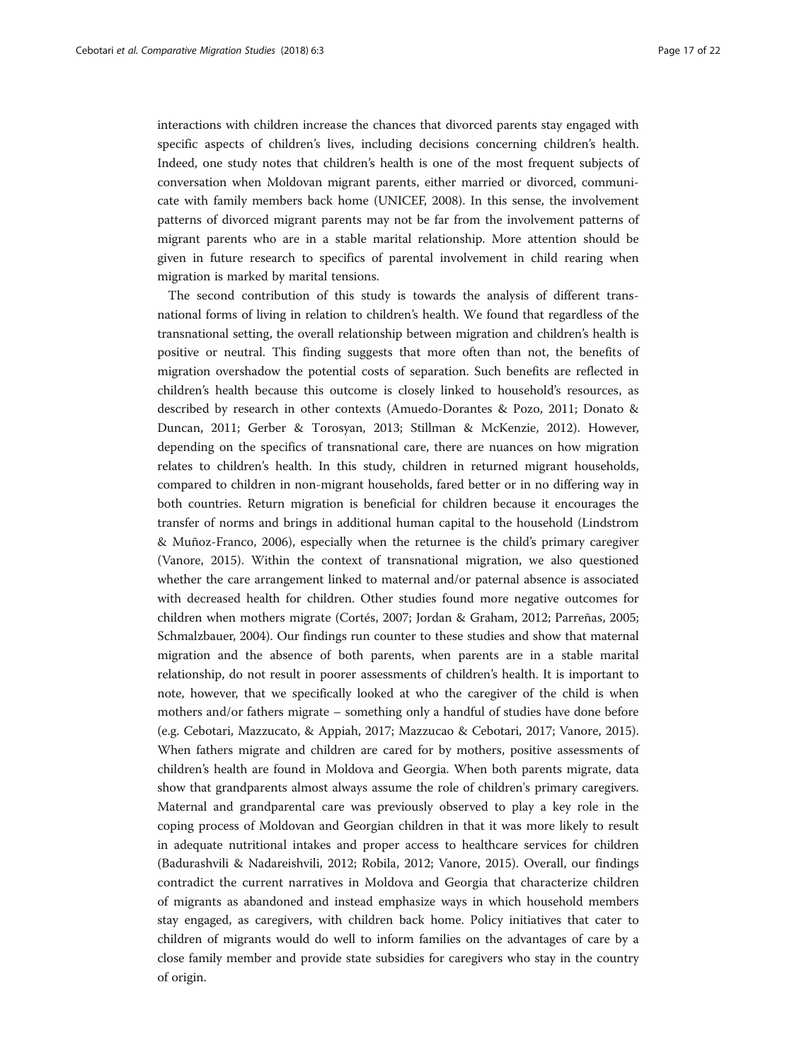interactions with children increase the chances that divorced parents stay engaged with specific aspects of children's lives, including decisions concerning children's health. Indeed, one study notes that children's health is one of the most frequent subjects of conversation when Moldovan migrant parents, either married or divorced, communicate with family members back home (UNICEF, [2008\)](#page-20-0). In this sense, the involvement patterns of divorced migrant parents may not be far from the involvement patterns of migrant parents who are in a stable marital relationship. More attention should be given in future research to specifics of parental involvement in child rearing when migration is marked by marital tensions.

The second contribution of this study is towards the analysis of different transnational forms of living in relation to children's health. We found that regardless of the transnational setting, the overall relationship between migration and children's health is positive or neutral. This finding suggests that more often than not, the benefits of migration overshadow the potential costs of separation. Such benefits are reflected in children's health because this outcome is closely linked to household's resources, as described by research in other contexts (Amuedo-Dorantes & Pozo, [2011;](#page-19-0) Donato & Duncan, [2011](#page-20-0); Gerber & Torosyan, [2013;](#page-20-0) Stillman & McKenzie, [2012](#page-20-0)). However, depending on the specifics of transnational care, there are nuances on how migration relates to children's health. In this study, children in returned migrant households, compared to children in non-migrant households, fared better or in no differing way in both countries. Return migration is beneficial for children because it encourages the transfer of norms and brings in additional human capital to the household (Lindstrom & Muñoz-Franco, [2006](#page-20-0)), especially when the returnee is the child's primary caregiver (Vanore, [2015](#page-21-0)). Within the context of transnational migration, we also questioned whether the care arrangement linked to maternal and/or paternal absence is associated with decreased health for children. Other studies found more negative outcomes for children when mothers migrate (Cortés, [2007;](#page-20-0) Jordan & Graham, [2012;](#page-20-0) Parreñas, [2005](#page-20-0); Schmalzbauer, [2004\)](#page-20-0). Our findings run counter to these studies and show that maternal migration and the absence of both parents, when parents are in a stable marital relationship, do not result in poorer assessments of children's health. It is important to note, however, that we specifically looked at who the caregiver of the child is when mothers and/or fathers migrate – something only a handful of studies have done before (e.g. Cebotari, Mazzucato, & Appiah, [2017;](#page-20-0) Mazzucao & Cebotari, 2017; Vanore, [2015](#page-21-0)). When fathers migrate and children are cared for by mothers, positive assessments of children's health are found in Moldova and Georgia. When both parents migrate, data show that grandparents almost always assume the role of children's primary caregivers. Maternal and grandparental care was previously observed to play a key role in the coping process of Moldovan and Georgian children in that it was more likely to result in adequate nutritional intakes and proper access to healthcare services for children (Badurashvili & Nadareishvili, [2012;](#page-20-0) Robila, [2012;](#page-20-0) Vanore, [2015\)](#page-21-0). Overall, our findings contradict the current narratives in Moldova and Georgia that characterize children of migrants as abandoned and instead emphasize ways in which household members stay engaged, as caregivers, with children back home. Policy initiatives that cater to children of migrants would do well to inform families on the advantages of care by a close family member and provide state subsidies for caregivers who stay in the country of origin.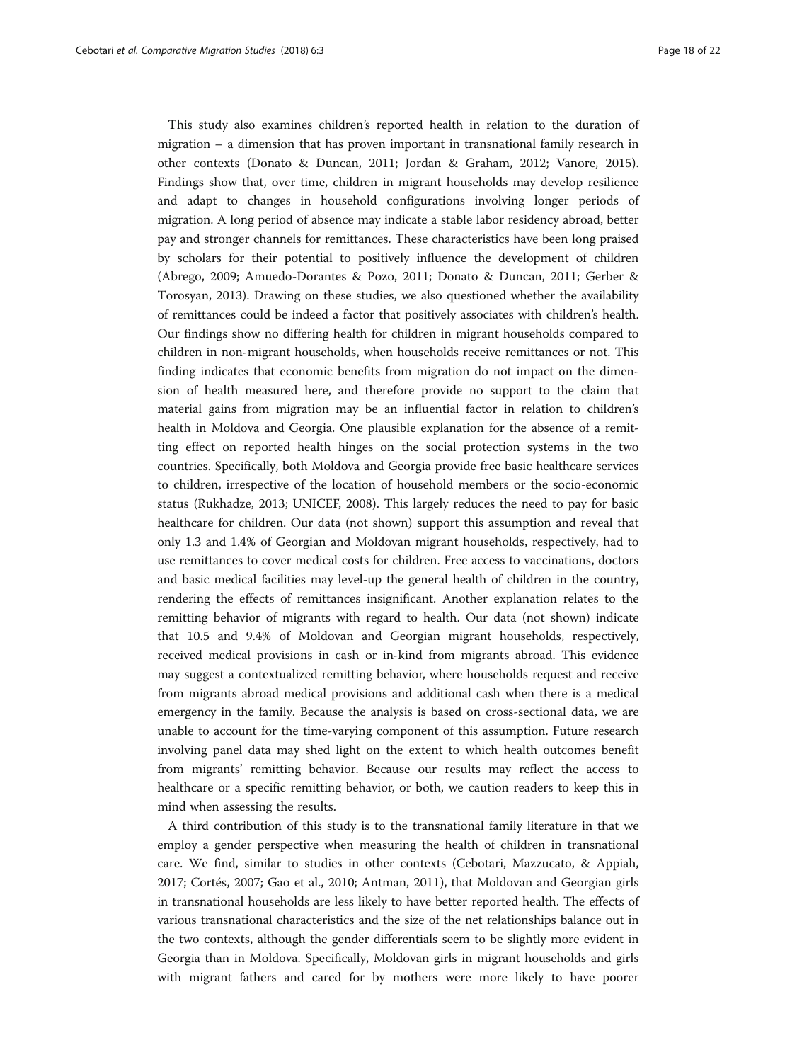This study also examines children's reported health in relation to the duration of migration – a dimension that has proven important in transnational family research in other contexts (Donato & Duncan, [2011](#page-20-0); Jordan & Graham, [2012](#page-20-0); Vanore, [2015](#page-21-0)). Findings show that, over time, children in migrant households may develop resilience and adapt to changes in household configurations involving longer periods of migration. A long period of absence may indicate a stable labor residency abroad, better pay and stronger channels for remittances. These characteristics have been long praised by scholars for their potential to positively influence the development of children (Abrego, [2009;](#page-19-0) Amuedo-Dorantes & Pozo, [2011;](#page-19-0) Donato & Duncan, [2011](#page-20-0); Gerber & Torosyan, [2013](#page-20-0)). Drawing on these studies, we also questioned whether the availability of remittances could be indeed a factor that positively associates with children's health. Our findings show no differing health for children in migrant households compared to children in non-migrant households, when households receive remittances or not. This finding indicates that economic benefits from migration do not impact on the dimension of health measured here, and therefore provide no support to the claim that material gains from migration may be an influential factor in relation to children's health in Moldova and Georgia. One plausible explanation for the absence of a remitting effect on reported health hinges on the social protection systems in the two countries. Specifically, both Moldova and Georgia provide free basic healthcare services to children, irrespective of the location of household members or the socio-economic status (Rukhadze, [2013](#page-20-0); UNICEF, [2008](#page-20-0)). This largely reduces the need to pay for basic healthcare for children. Our data (not shown) support this assumption and reveal that only 1.3 and 1.4% of Georgian and Moldovan migrant households, respectively, had to use remittances to cover medical costs for children. Free access to vaccinations, doctors and basic medical facilities may level-up the general health of children in the country, rendering the effects of remittances insignificant. Another explanation relates to the remitting behavior of migrants with regard to health. Our data (not shown) indicate that 10.5 and 9.4% of Moldovan and Georgian migrant households, respectively, received medical provisions in cash or in-kind from migrants abroad. This evidence may suggest a contextualized remitting behavior, where households request and receive from migrants abroad medical provisions and additional cash when there is a medical emergency in the family. Because the analysis is based on cross-sectional data, we are unable to account for the time-varying component of this assumption. Future research involving panel data may shed light on the extent to which health outcomes benefit from migrants' remitting behavior. Because our results may reflect the access to healthcare or a specific remitting behavior, or both, we caution readers to keep this in mind when assessing the results.

A third contribution of this study is to the transnational family literature in that we employ a gender perspective when measuring the health of children in transnational care. We find, similar to studies in other contexts (Cebotari, Mazzucato, & Appiah, [2017](#page-20-0); Cortés, [2007;](#page-20-0) Gao et al., [2010;](#page-20-0) Antman, [2011\)](#page-20-0), that Moldovan and Georgian girls in transnational households are less likely to have better reported health. The effects of various transnational characteristics and the size of the net relationships balance out in the two contexts, although the gender differentials seem to be slightly more evident in Georgia than in Moldova. Specifically, Moldovan girls in migrant households and girls with migrant fathers and cared for by mothers were more likely to have poorer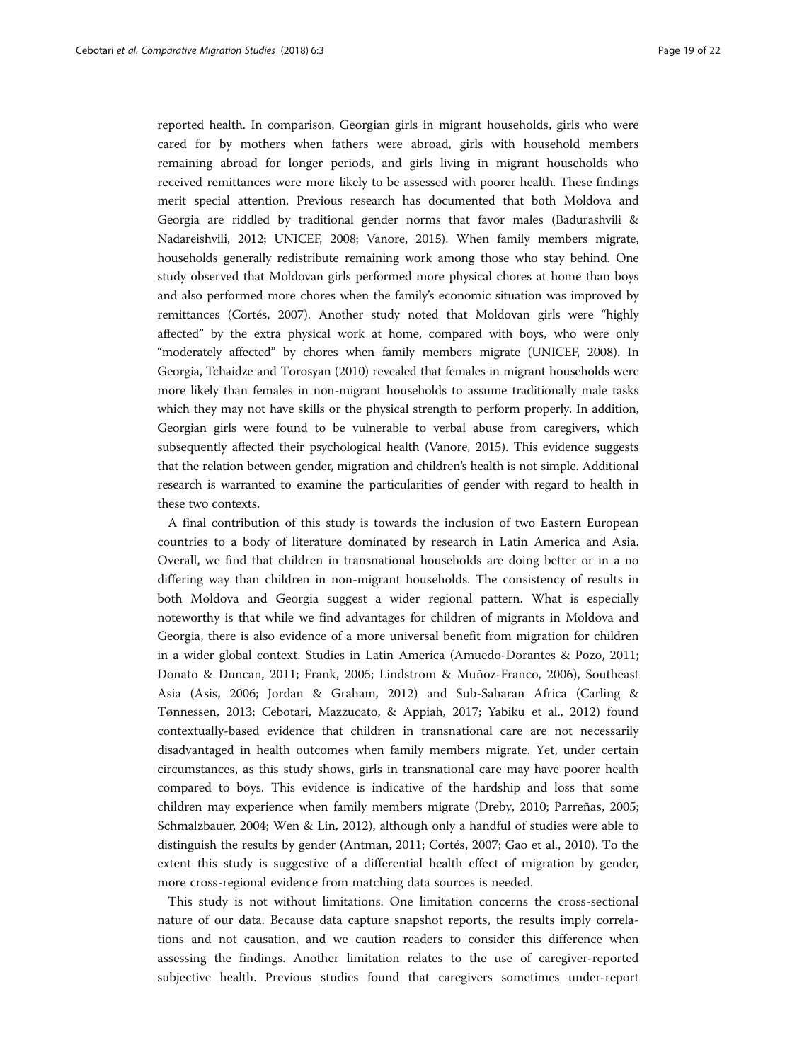reported health. In comparison, Georgian girls in migrant households, girls who were cared for by mothers when fathers were abroad, girls with household members remaining abroad for longer periods, and girls living in migrant households who received remittances were more likely to be assessed with poorer health. These findings merit special attention. Previous research has documented that both Moldova and Georgia are riddled by traditional gender norms that favor males (Badurashvili & Nadareishvili, [2012](#page-20-0); UNICEF, [2008](#page-20-0); Vanore, [2015\)](#page-21-0). When family members migrate, households generally redistribute remaining work among those who stay behind. One study observed that Moldovan girls performed more physical chores at home than boys and also performed more chores when the family's economic situation was improved by remittances (Cortés, [2007](#page-20-0)). Another study noted that Moldovan girls were "highly affected" by the extra physical work at home, compared with boys, who were only "moderately affected" by chores when family members migrate (UNICEF, [2008](#page-20-0)). In Georgia, Tchaidze and Torosyan [\(2010\)](#page-20-0) revealed that females in migrant households were more likely than females in non-migrant households to assume traditionally male tasks which they may not have skills or the physical strength to perform properly. In addition, Georgian girls were found to be vulnerable to verbal abuse from caregivers, which subsequently affected their psychological health (Vanore, [2015\)](#page-21-0). This evidence suggests that the relation between gender, migration and children's health is not simple. Additional research is warranted to examine the particularities of gender with regard to health in these two contexts.

A final contribution of this study is towards the inclusion of two Eastern European countries to a body of literature dominated by research in Latin America and Asia. Overall, we find that children in transnational households are doing better or in a no differing way than children in non-migrant households. The consistency of results in both Moldova and Georgia suggest a wider regional pattern. What is especially noteworthy is that while we find advantages for children of migrants in Moldova and Georgia, there is also evidence of a more universal benefit from migration for children in a wider global context. Studies in Latin America (Amuedo-Dorantes & Pozo, [2011](#page-19-0); Donato & Duncan, [2011](#page-20-0); Frank, [2005](#page-20-0); Lindstrom & Muñoz-Franco, [2006](#page-20-0)), Southeast Asia (Asis, [2006](#page-20-0); Jordan & Graham, [2012](#page-20-0)) and Sub-Saharan Africa (Carling & Tønnessen, [2013;](#page-20-0) Cebotari, Mazzucato, & Appiah, [2017;](#page-20-0) Yabiku et al., [2012\)](#page-21-0) found contextually-based evidence that children in transnational care are not necessarily disadvantaged in health outcomes when family members migrate. Yet, under certain circumstances, as this study shows, girls in transnational care may have poorer health compared to boys. This evidence is indicative of the hardship and loss that some children may experience when family members migrate (Dreby, [2010](#page-20-0); Parreñas, [2005](#page-20-0); Schmalzbauer, [2004;](#page-20-0) Wen & Lin, [2012\)](#page-21-0), although only a handful of studies were able to distinguish the results by gender (Antman, [2011](#page-20-0); Cortés, [2007](#page-20-0); Gao et al., [2010\)](#page-20-0). To the extent this study is suggestive of a differential health effect of migration by gender, more cross-regional evidence from matching data sources is needed.

This study is not without limitations. One limitation concerns the cross-sectional nature of our data. Because data capture snapshot reports, the results imply correlations and not causation, and we caution readers to consider this difference when assessing the findings. Another limitation relates to the use of caregiver-reported subjective health. Previous studies found that caregivers sometimes under-report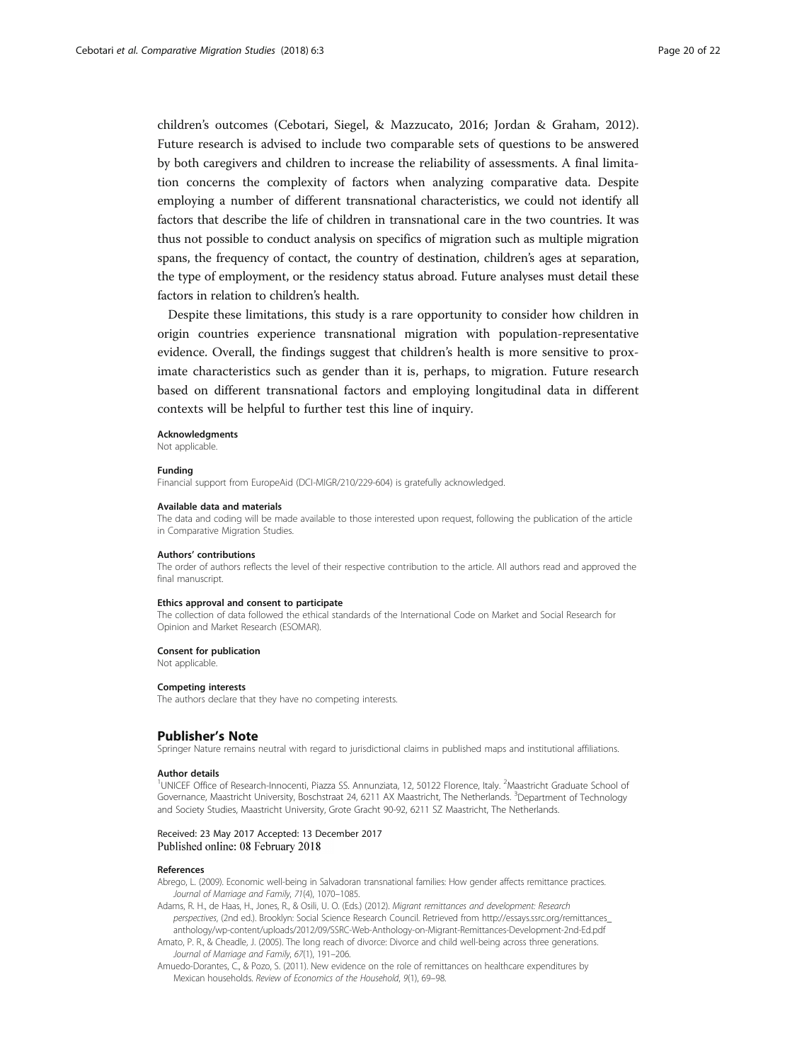<span id="page-19-0"></span>children's outcomes (Cebotari, Siegel, & Mazzucato, [2016;](#page-20-0) Jordan & Graham, [2012](#page-20-0)). Future research is advised to include two comparable sets of questions to be answered by both caregivers and children to increase the reliability of assessments. A final limitation concerns the complexity of factors when analyzing comparative data. Despite employing a number of different transnational characteristics, we could not identify all factors that describe the life of children in transnational care in the two countries. It was thus not possible to conduct analysis on specifics of migration such as multiple migration spans, the frequency of contact, the country of destination, children's ages at separation, the type of employment, or the residency status abroad. Future analyses must detail these factors in relation to children's health.

Despite these limitations, this study is a rare opportunity to consider how children in origin countries experience transnational migration with population-representative evidence. Overall, the findings suggest that children's health is more sensitive to proximate characteristics such as gender than it is, perhaps, to migration. Future research based on different transnational factors and employing longitudinal data in different contexts will be helpful to further test this line of inquiry.

#### Acknowledgments

Not applicable.

#### Funding

Financial support from EuropeAid (DCI-MIGR/210/229-604) is gratefully acknowledged.

#### Available data and materials

The data and coding will be made available to those interested upon request, following the publication of the article in Comparative Migration Studies.

#### Authors' contributions

The order of authors reflects the level of their respective contribution to the article. All authors read and approved the final manuscript.

#### Ethics approval and consent to participate

The collection of data followed the ethical standards of the International Code on Market and Social Research for Opinion and Market Research (ESOMAR).

#### Consent for publication

Not applicable.

#### Competing interests

The authors declare that they have no competing interests.

#### Publisher's Note

Springer Nature remains neutral with regard to jurisdictional claims in published maps and institutional affiliations.

#### Author details

<sup>1</sup>UNICEF Office of Research-Innocenti, Piazza SS. Annunziata, 12, 50122 Florence, Italy. <sup>2</sup>Maastricht Graduate School of Governance, Maastricht University, Boschstraat 24, 6211 AX Maastricht, The Netherlands. <sup>3</sup>Department of Technology and Society Studies, Maastricht University, Grote Gracht 90-92, 6211 SZ Maastricht, The Netherlands.

#### Received: 23 May 2017 Accepted: 13 December 2017 Published online: 08 February 2018

#### References

Abrego, L. (2009). Economic well-being in Salvadoran transnational families: How gender affects remittance practices. Journal of Marriage and Family, 71(4), 1070–1085.

Adams, R. H., de Haas, H., Jones, R., & Osili, U. O. (Eds.) (2012). Migrant remittances and development: Research perspectives, (2nd ed.). Brooklyn: Social Science Research Council. Retrieved from [http://essays.ssrc.org/remittances\\_](http://essays.ssrc.org/remittances_anthology/wp-content/uploads/2012/09/SSRC-Web-Anthology-on-Migrant-Remittances-Development-2nd-Ed.pdf)

[anthology/wp-content/uploads/2012/09/SSRC-Web-Anthology-on-Migrant-Remittances-Development-2nd-Ed.pdf](http://essays.ssrc.org/remittances_anthology/wp-content/uploads/2012/09/SSRC-Web-Anthology-on-Migrant-Remittances-Development-2nd-Ed.pdf) Amato, P. R., & Cheadle, J. (2005). The long reach of divorce: Divorce and child well-being across three generations. Journal of Marriage and Family, 67(1), 191–206.

Amuedo-Dorantes, C., & Pozo, S. (2011). New evidence on the role of remittances on healthcare expenditures by Mexican households. Review of Economics of the Household, 9(1), 69–98.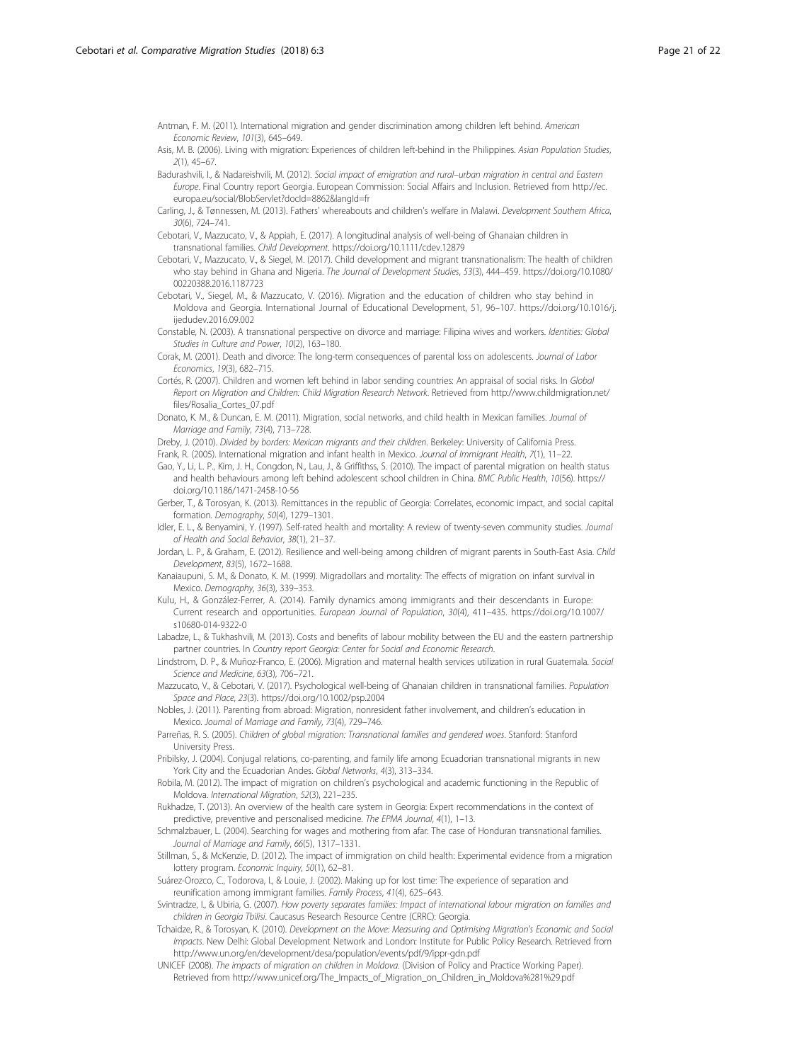<span id="page-20-0"></span>Antman, F. M. (2011). International migration and gender discrimination among children left behind. American Economic Review, 101(3), 645–649.

Asis, M. B. (2006). Living with migration: Experiences of children left-behind in the Philippines. Asian Population Studies. 2(1), 45–67.

- Badurashvili, I., & Nadareishvili, M. (2012). Social impact of emigration and rural–urban migration in central and Eastern Europe. Final Country report Georgia. European Commission: Social Affairs and Inclusion. Retrieved from [http://ec.](http://ec.europa.eu/social/BlobServlet?docId=8862&langId=fr) [europa.eu/social/BlobServlet?docId=8862&langId=fr](http://ec.europa.eu/social/BlobServlet?docId=8862&langId=fr)
- Carling, J., & Tønnessen, M. (2013). Fathers' whereabouts and children's welfare in Malawi. Development Southern Africa, 30(6), 724–741.

Cebotari, V., Mazzucato, V., & Appiah, E. (2017). A longitudinal analysis of well-being of Ghanaian children in transnational families. Child Development. [https://doi.org/10.1111/cdev.12879](http://dx.doi.org/10.1111/cdev.12879)

- Cebotari, V., Mazzucato, V., & Siegel, M. (2017). Child development and migrant transnationalism: The health of children who stay behind in Ghana and Nigeria. The Journal of Development Studies, 53(3), 444–459. [https://doi.org/10.1080/](http://dx.doi.org/10.1080/00220388.2016.1187723) [00220388.2016.1187723](http://dx.doi.org/10.1080/00220388.2016.1187723)
- Cebotari, V., Siegel, M., & Mazzucato, V. (2016). Migration and the education of children who stay behind in Moldova and Georgia. International Journal of Educational Development, 51, 96–107. [https://doi.org/10.1016/j.](http://dx.doi.org/10.1016/j.ijedudev.2016.09.002) [ijedudev.2016.09.002](http://dx.doi.org/10.1016/j.ijedudev.2016.09.002)
- Constable, N. (2003). A transnational perspective on divorce and marriage: Filipina wives and workers. Identities: Global Studies in Culture and Power, 10(2), 163–180.
- Corak, M. (2001). Death and divorce: The long-term consequences of parental loss on adolescents. Journal of Labor Economics, 19(3), 682–715.
- Cortés, R. (2007). Children and women left behind in labor sending countries: An appraisal of social risks. In Global Report on Migration and Children: Child Migration Research Network. Retrieved from [http://www.childmigration.net/](http://www.childmigration.net/files/Rosalia_Cortes_07.pdf) [files/Rosalia\\_Cortes\\_07.pdf](http://www.childmigration.net/files/Rosalia_Cortes_07.pdf)
- Donato, K. M., & Duncan, E. M. (2011). Migration, social networks, and child health in Mexican families. Journal of Marriage and Family, 73(4), 713–728.
- Dreby, J. (2010). Divided by borders: Mexican migrants and their children. Berkeley: University of California Press.
- Frank, R. (2005). International migration and infant health in Mexico. Journal of Immigrant Health, 7(1), 11–22.

Gao, Y., Li, L. P., Kim, J. H., Congdon, N., Lau, J., & Griffithss, S. (2010). The impact of parental migration on health status and health behaviours among left behind adolescent school children in China. BMC Public Health, 10(56). [https://](http://dx.doi.org/10.1186/1471-2458-10-56) [doi.org/10.1186/1471-2458-10-56](http://dx.doi.org/10.1186/1471-2458-10-56)

- Gerber, T., & Torosyan, K. (2013). Remittances in the republic of Georgia: Correlates, economic impact, and social capital formation. Demography, 50(4), 1279–1301.
- Idler, E. L., & Benyamini, Y. (1997). Self-rated health and mortality: A review of twenty-seven community studies. Journal of Health and Social Behavior, 38(1), 21–37.
- Jordan, L. P., & Graham, E. (2012). Resilience and well-being among children of migrant parents in South-East Asia. Child Development, 83(5), 1672–1688.
- Kanaiaupuni, S. M., & Donato, K. M. (1999). Migradollars and mortality: The effects of migration on infant survival in Mexico. Demography, 36(3), 339–353.
- Kulu, H., & González-Ferrer, A. (2014). Family dynamics among immigrants and their descendants in Europe: Current research and opportunities. European Journal of Population, 30(4), 411–435. [https://doi.org/10.1007/](http://dx.doi.org/10.1007/s10680-014-9322-0) [s10680-014-9322-0](http://dx.doi.org/10.1007/s10680-014-9322-0)
- Labadze, L., & Tukhashvili, M. (2013). Costs and benefits of labour mobility between the EU and the eastern partnership partner countries. In Country report Georgia: Center for Social and Economic Research.
- Lindstrom, D. P., & Muñoz-Franco, E. (2006). Migration and maternal health services utilization in rural Guatemala. Social Science and Medicine, 63(3), 706–721.

Mazzucato, V., & Cebotari, V. (2017). Psychological well-being of Ghanaian children in transnational families. Population Space and Place, 23(3). [https://doi.org/10.1002/psp.2004](http://dx.doi.org/10.1002/psp.2004)

Nobles, J. (2011). Parenting from abroad: Migration, nonresident father involvement, and children's education in Mexico. Journal of Marriage and Family, 73(4), 729–746.

Parreñas, R. S. (2005). Children of global migration: Transnational families and gendered woes. Stanford: Stanford University Press.

- Pribilsky, J. (2004). Conjugal relations, co-parenting, and family life among Ecuadorian transnational migrants in new York City and the Ecuadorian Andes. Global Networks, 4(3), 313–334.
- Robila, M. (2012). The impact of migration on children's psychological and academic functioning in the Republic of Moldova. International Migration, 52(3), 221–235.

Rukhadze, T. (2013). An overview of the health care system in Georgia: Expert recommendations in the context of predictive, preventive and personalised medicine. The EPMA Journal, 4(1), 1–13.

Schmalzbauer, L. (2004). Searching for wages and mothering from afar: The case of Honduran transnational families. Journal of Marriage and Family, 66(5), 1317–1331.

Stillman, S., & McKenzie, D. (2012). The impact of immigration on child health: Experimental evidence from a migration lottery program. Economic Inquiry, 50(1), 62-81.

Suárez-Orozco, C., Todorova, I., & Louie, J. (2002). Making up for lost time: The experience of separation and reunification among immigrant families. Family Process, 41(4), 625–643.

- Svintradze, I., & Ubiria, G. (2007). How poverty separates families: Impact of international labour migration on families and children in Georgia Tbilisi. Caucasus Research Resource Centre (CRRC): Georgia.
- Tchaidze, R., & Torosyan, K. (2010). Development on the Move: Measuring and Optimising Migration's Economic and Social Impacts. New Delhi: Global Development Network and London: Institute for Public Policy Research. Retrieved from <http://www.un.org/en/development/desa/population/events/pdf/9/ippr-gdn.pdf>
- UNICEF (2008). The impacts of migration on children in Moldova. (Division of Policy and Practice Working Paper). Retrieved from [http://www.unicef.org/The\\_Impacts\\_of\\_Migration\\_on\\_Children\\_in\\_Moldova%281%29.pdf](http://www.unicef.org/The_Impacts_of_Migration_on_Children_in_Moldova%281%29.pdf)